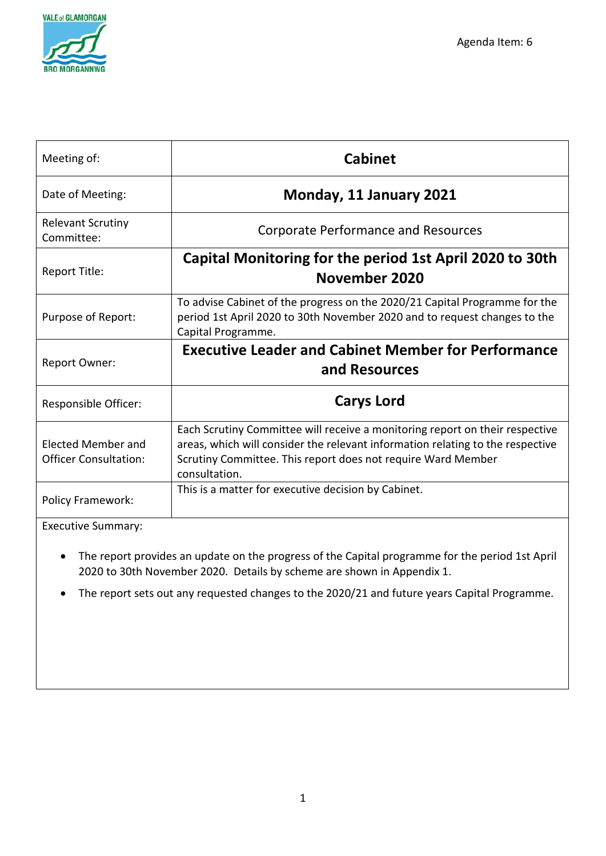

| Meeting of:                                               | <b>Cabinet</b>                                                                                                                                                                                                                                  |
|-----------------------------------------------------------|-------------------------------------------------------------------------------------------------------------------------------------------------------------------------------------------------------------------------------------------------|
| Date of Meeting:                                          | Monday, 11 January 2021                                                                                                                                                                                                                         |
| <b>Relevant Scrutiny</b><br>Committee:                    | <b>Corporate Performance and Resources</b>                                                                                                                                                                                                      |
| Report Title:                                             | Capital Monitoring for the period 1st April 2020 to 30th<br>November 2020                                                                                                                                                                       |
| Purpose of Report:                                        | To advise Cabinet of the progress on the 2020/21 Capital Programme for the<br>period 1st April 2020 to 30th November 2020 and to request changes to the<br>Capital Programme.                                                                   |
| Report Owner:                                             | <b>Executive Leader and Cabinet Member for Performance</b><br>and Resources                                                                                                                                                                     |
| Responsible Officer:                                      | <b>Carys Lord</b>                                                                                                                                                                                                                               |
| <b>Elected Member and</b><br><b>Officer Consultation:</b> | Each Scrutiny Committee will receive a monitoring report on their respective<br>areas, which will consider the relevant information relating to the respective<br>Scrutiny Committee. This report does not require Ward Member<br>consultation. |
| Policy Framework:                                         | This is a matter for executive decision by Cabinet.                                                                                                                                                                                             |
| Evecutive Summary                                         |                                                                                                                                                                                                                                                 |

Executive Summary:

- The report provides an update on the progress of the Capital programme for the period 1st April 2020 to 30th November 2020. Details by scheme are shown in Appendix 1.
- The report sets out any requested changes to the 2020/21 and future years Capital Programme.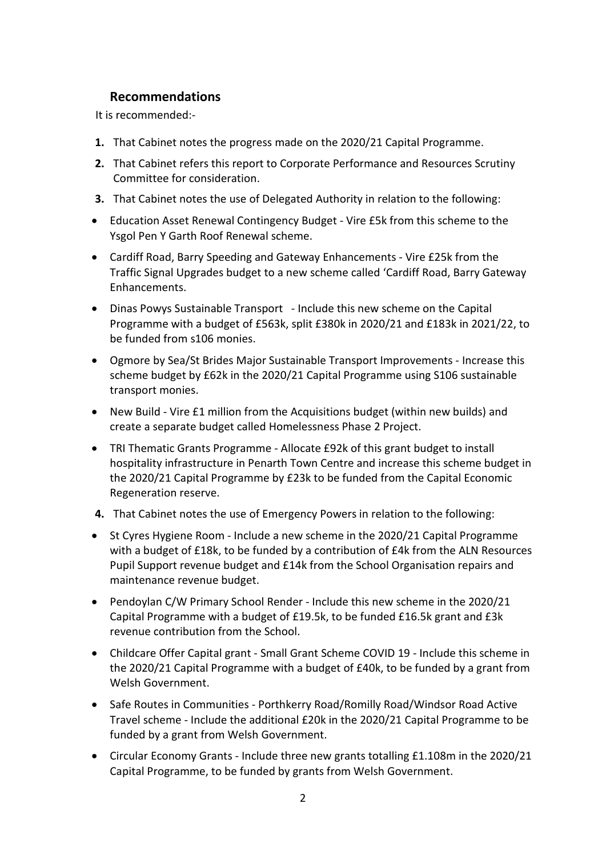## **Recommendations**

It is recommended:-

- **1.** That Cabinet notes the progress made on the 2020/21 Capital Programme.
- **2.** That Cabinet refers this report to Corporate Performance and Resources Scrutiny Committee for consideration.
- **3.** That Cabinet notes the use of Delegated Authority in relation to the following:
- Education Asset Renewal Contingency Budget Vire £5k from this scheme to the Ysgol Pen Y Garth Roof Renewal scheme.
- Cardiff Road, Barry Speeding and Gateway Enhancements Vire £25k from the Traffic Signal Upgrades budget to a new scheme called 'Cardiff Road, Barry Gateway Enhancements.
- Dinas Powys Sustainable Transport Include this new scheme on the Capital Programme with a budget of £563k, split £380k in 2020/21 and £183k in 2021/22, to be funded from s106 monies.
- Ogmore by Sea/St Brides Major Sustainable Transport Improvements Increase this scheme budget by £62k in the 2020/21 Capital Programme using S106 sustainable transport monies.
- New Build Vire £1 million from the Acquisitions budget (within new builds) and create a separate budget called Homelessness Phase 2 Project.
- TRI Thematic Grants Programme Allocate £92k of this grant budget to install hospitality infrastructure in Penarth Town Centre and increase this scheme budget in the 2020/21 Capital Programme by £23k to be funded from the Capital Economic Regeneration reserve.
- **4.** That Cabinet notes the use of Emergency Powers in relation to the following:
- St Cyres Hygiene Room Include a new scheme in the 2020/21 Capital Programme with a budget of £18k, to be funded by a contribution of £4k from the ALN Resources Pupil Support revenue budget and £14k from the School Organisation repairs and maintenance revenue budget.
- Pendoylan C/W Primary School Render Include this new scheme in the 2020/21 Capital Programme with a budget of £19.5k, to be funded £16.5k grant and £3k revenue contribution from the School.
- Childcare Offer Capital grant Small Grant Scheme COVID 19 Include this scheme in the 2020/21 Capital Programme with a budget of £40k, to be funded by a grant from Welsh Government
- Safe Routes in Communities Porthkerry Road/Romilly Road/Windsor Road Active Travel scheme - Include the additional £20k in the 2020/21 Capital Programme to be funded by a grant from Welsh Government.
- Circular Economy Grants Include three new grants totalling £1.108m in the 2020/21 Capital Programme, to be funded by grants from Welsh Government.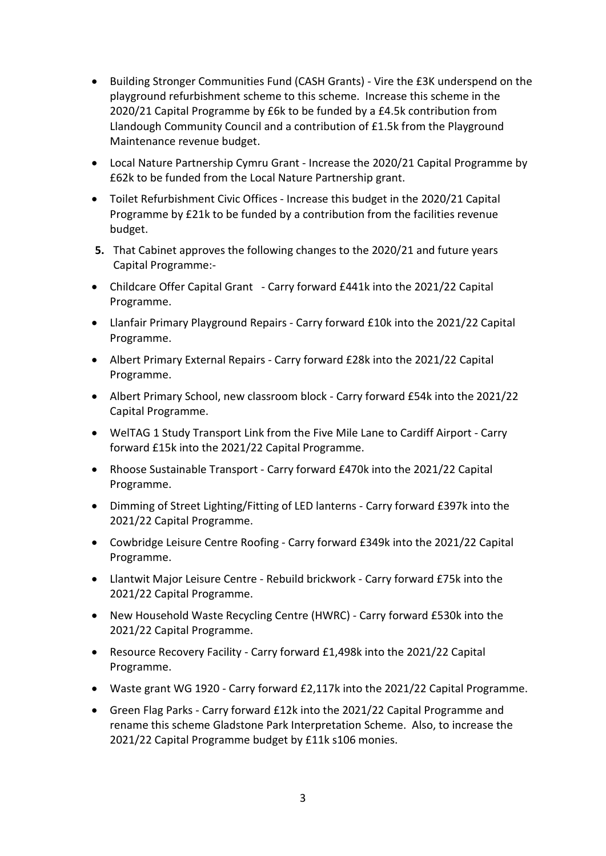- Building Stronger Communities Fund (CASH Grants) Vire the £3K underspend on the playground refurbishment scheme to this scheme. Increase this scheme in the 2020/21 Capital Programme by £6k to be funded by a £4.5k contribution from Llandough Community Council and a contribution of £1.5k from the Playground Maintenance revenue budget.
- Local Nature Partnership Cymru Grant Increase the 2020/21 Capital Programme by £62k to be funded from the Local Nature Partnership grant.
- Toilet Refurbishment Civic Offices Increase this budget in the 2020/21 Capital Programme by £21k to be funded by a contribution from the facilities revenue budget.
- **5.** That Cabinet approves the following changes to the 2020/21 and future years Capital Programme:-
- Childcare Offer Capital Grant Carry forward £441k into the 2021/22 Capital Programme.
- Llanfair Primary Playground Repairs Carry forward £10k into the 2021/22 Capital Programme.
- Albert Primary External Repairs Carry forward £28k into the 2021/22 Capital Programme.
- Albert Primary School, new classroom block Carry forward £54k into the 2021/22 Capital Programme.
- WelTAG 1 Study Transport Link from the Five Mile Lane to Cardiff Airport Carry forward £15k into the 2021/22 Capital Programme.
- Rhoose Sustainable Transport Carry forward £470k into the 2021/22 Capital Programme.
- Dimming of Street Lighting/Fitting of LED lanterns Carry forward £397k into the 2021/22 Capital Programme.
- Cowbridge Leisure Centre Roofing Carry forward £349k into the 2021/22 Capital Programme.
- Llantwit Major Leisure Centre Rebuild brickwork Carry forward £75k into the 2021/22 Capital Programme.
- New Household Waste Recycling Centre (HWRC) Carry forward £530k into the 2021/22 Capital Programme.
- Resource Recovery Facility Carry forward £1,498k into the 2021/22 Capital Programme.
- Waste grant WG 1920 Carry forward £2,117k into the 2021/22 Capital Programme.
- Green Flag Parks Carry forward £12k into the 2021/22 Capital Programme and rename this scheme Gladstone Park Interpretation Scheme. Also, to increase the 2021/22 Capital Programme budget by £11k s106 monies.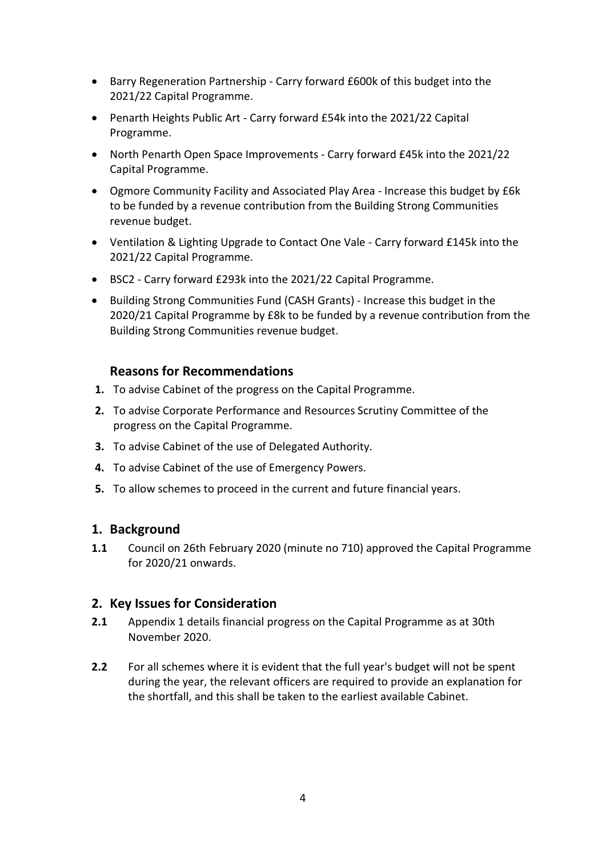- Barry Regeneration Partnership Carry forward £600k of this budget into the 2021/22 Capital Programme.
- Penarth Heights Public Art Carry forward £54k into the 2021/22 Capital Programme.
- North Penarth Open Space Improvements Carry forward £45k into the 2021/22 Capital Programme.
- Ogmore Community Facility and Associated Play Area Increase this budget by £6k to be funded by a revenue contribution from the Building Strong Communities revenue budget.
- Ventilation & Lighting Upgrade to Contact One Vale Carry forward £145k into the 2021/22 Capital Programme.
- BSC2 Carry forward £293k into the 2021/22 Capital Programme.
- Building Strong Communities Fund (CASH Grants) Increase this budget in the 2020/21 Capital Programme by £8k to be funded by a revenue contribution from the Building Strong Communities revenue budget.

### **Reasons for Recommendations**

- **1.** To advise Cabinet of the progress on the Capital Programme.
- **2.** To advise Corporate Performance and Resources Scrutiny Committee of the progress on the Capital Programme.
- **3.** To advise Cabinet of the use of Delegated Authority.
- **4.** To advise Cabinet of the use of Emergency Powers.
- **5.** To allow schemes to proceed in the current and future financial years.

### **1. Background**

**1.1** Council on 26th February 2020 (minute no 710) approved the Capital Programme for 2020/21 onwards.

## **2. Key Issues for Consideration**

- **2.1** Appendix 1 details financial progress on the Capital Programme as at 30th November 2020.
- **2.2** For all schemes where it is evident that the full year's budget will not be spent during the year, the relevant officers are required to provide an explanation for the shortfall, and this shall be taken to the earliest available Cabinet.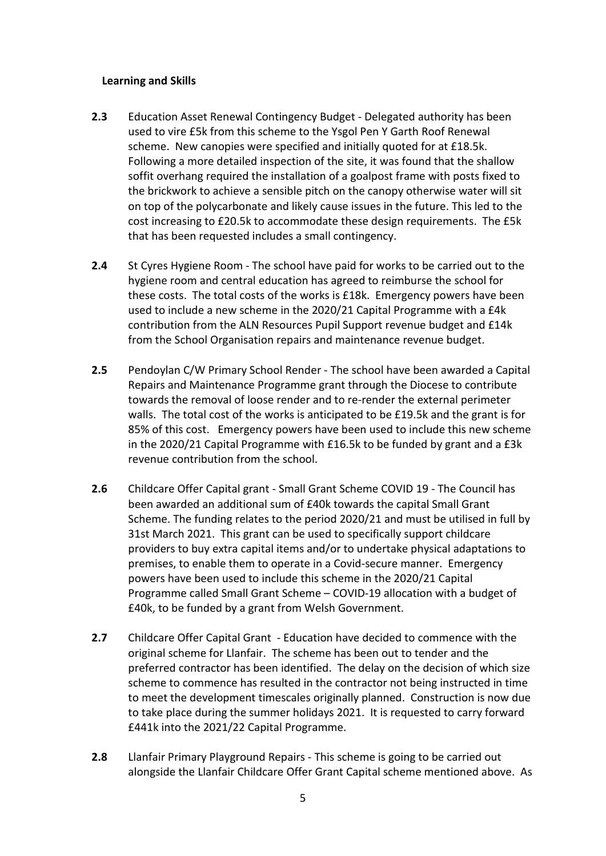### **Learning and Skills**

- **2.3** Education Asset Renewal Contingency Budget Delegated authority has been used to vire £5k from this scheme to the Ysgol Pen Y Garth Roof Renewal scheme. New canopies were specified and initially quoted for at £18.5k. Following a more detailed inspection of the site, it was found that the shallow soffit overhang required the installation of a goalpost frame with posts fixed to the brickwork to achieve a sensible pitch on the canopy otherwise water will sit on top of the polycarbonate and likely cause issues in the future. This led to the cost increasing to £20.5k to accommodate these design requirements. The £5k that has been requested includes a small contingency.
- **2.4** St Cyres Hygiene Room The school have paid for works to be carried out to the hygiene room and central education has agreed to reimburse the school for these costs. The total costs of the works is £18k. Emergency powers have been used to include a new scheme in the 2020/21 Capital Programme with a £4k contribution from the ALN Resources Pupil Support revenue budget and £14k from the School Organisation repairs and maintenance revenue budget.
- **2.5** Pendoylan C/W Primary School Render The school have been awarded a Capital Repairs and Maintenance Programme grant through the Diocese to contribute towards the removal of loose render and to re-render the external perimeter walls. The total cost of the works is anticipated to be £19.5k and the grant is for 85% of this cost. Emergency powers have been used to include this new scheme in the 2020/21 Capital Programme with £16.5k to be funded by grant and a £3k revenue contribution from the school.
- **2.6** Childcare Offer Capital grant Small Grant Scheme COVID 19 The Council has been awarded an additional sum of £40k towards the capital Small Grant Scheme. The funding relates to the period 2020/21 and must be utilised in full by 31st March 2021. This grant can be used to specifically support childcare providers to buy extra capital items and/or to undertake physical adaptations to premises, to enable them to operate in a Covid-secure manner. Emergency powers have been used to include this scheme in the 2020/21 Capital Programme called Small Grant Scheme – COVID-19 allocation with a budget of £40k, to be funded by a grant from Welsh Government.
- **2.7** Childcare Offer Capital Grant Education have decided to commence with the original scheme for Llanfair. The scheme has been out to tender and the preferred contractor has been identified. The delay on the decision of which size scheme to commence has resulted in the contractor not being instructed in time to meet the development timescales originally planned. Construction is now due to take place during the summer holidays 2021. It is requested to carry forward £441k into the 2021/22 Capital Programme.
- **2.8** Llanfair Primary Playground Repairs This scheme is going to be carried out alongside the Llanfair Childcare Offer Grant Capital scheme mentioned above. As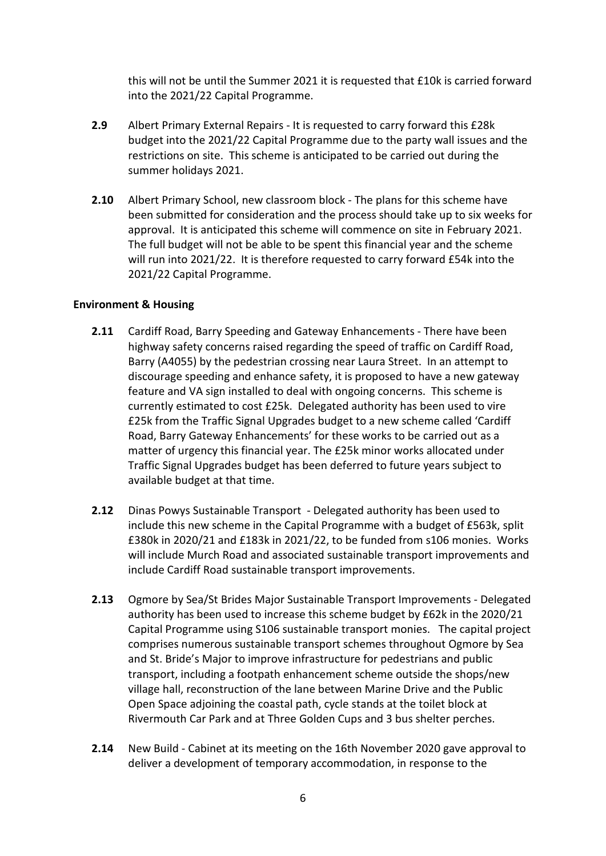this will not be until the Summer 2021 it is requested that £10k is carried forward into the 2021/22 Capital Programme.

- **2.9** Albert Primary External Repairs It is requested to carry forward this £28k budget into the 2021/22 Capital Programme due to the party wall issues and the restrictions on site. This scheme is anticipated to be carried out during the summer holidays 2021.
- **2.10** Albert Primary School, new classroom block The plans for this scheme have been submitted for consideration and the process should take up to six weeks for approval. It is anticipated this scheme will commence on site in February 2021. The full budget will not be able to be spent this financial year and the scheme will run into 2021/22. It is therefore requested to carry forward £54k into the 2021/22 Capital Programme.

### **Environment & Housing**

- **2.11** Cardiff Road, Barry Speeding and Gateway Enhancements There have been highway safety concerns raised regarding the speed of traffic on Cardiff Road, Barry (A4055) by the pedestrian crossing near Laura Street. In an attempt to discourage speeding and enhance safety, it is proposed to have a new gateway feature and VA sign installed to deal with ongoing concerns. This scheme is currently estimated to cost £25k. Delegated authority has been used to vire £25k from the Traffic Signal Upgrades budget to a new scheme called 'Cardiff Road, Barry Gateway Enhancements' for these works to be carried out as a matter of urgency this financial year. The £25k minor works allocated under Traffic Signal Upgrades budget has been deferred to future years subject to available budget at that time.
- **2.12** Dinas Powys Sustainable Transport Delegated authority has been used to include this new scheme in the Capital Programme with a budget of £563k, split £380k in 2020/21 and £183k in 2021/22, to be funded from s106 monies. Works will include Murch Road and associated sustainable transport improvements and include Cardiff Road sustainable transport improvements.
- **2.13** Ogmore by Sea/St Brides Major Sustainable Transport Improvements Delegated authority has been used to increase this scheme budget by £62k in the 2020/21 Capital Programme using S106 sustainable transport monies. The capital project comprises numerous sustainable transport schemes throughout Ogmore by Sea and St. Bride's Major to improve infrastructure for pedestrians and public transport, including a footpath enhancement scheme outside the shops/new village hall, reconstruction of the lane between Marine Drive and the Public Open Space adjoining the coastal path, cycle stands at the toilet block at Rivermouth Car Park and at Three Golden Cups and 3 bus shelter perches.
- **2.14** New Build Cabinet at its meeting on the 16th November 2020 gave approval to deliver a development of temporary accommodation, in response to the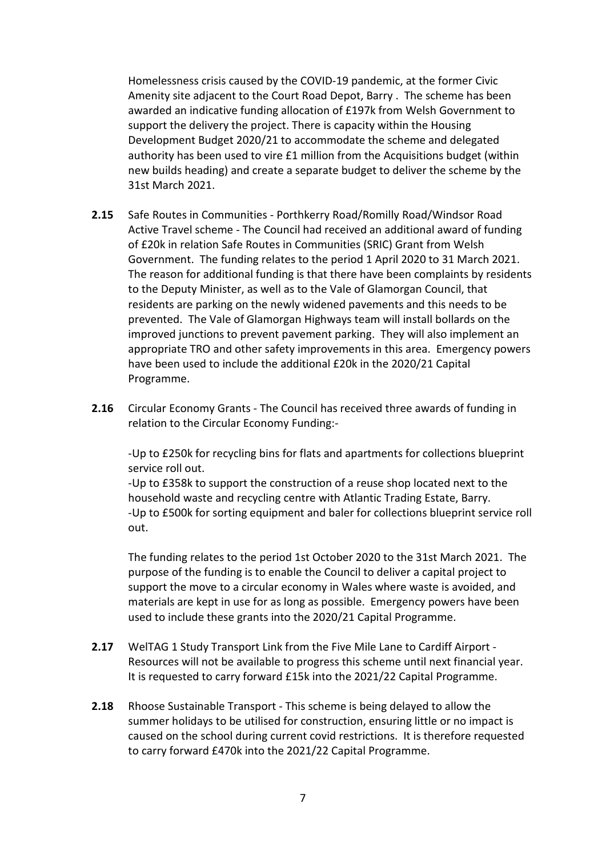Homelessness crisis caused by the COVID-19 pandemic, at the former Civic Amenity site adjacent to the Court Road Depot, Barry . The scheme has been awarded an indicative funding allocation of £197k from Welsh Government to support the delivery the project. There is capacity within the Housing Development Budget 2020/21 to accommodate the scheme and delegated authority has been used to vire £1 million from the Acquisitions budget (within new builds heading) and create a separate budget to deliver the scheme by the 31st March 2021.

- **2.15** Safe Routes in Communities Porthkerry Road/Romilly Road/Windsor Road Active Travel scheme - The Council had received an additional award of funding of £20k in relation Safe Routes in Communities (SRIC) Grant from Welsh Government. The funding relates to the period 1 April 2020 to 31 March 2021. The reason for additional funding is that there have been complaints by residents to the Deputy Minister, as well as to the Vale of Glamorgan Council, that residents are parking on the newly widened pavements and this needs to be prevented. The Vale of Glamorgan Highways team will install bollards on the improved junctions to prevent pavement parking. They will also implement an appropriate TRO and other safety improvements in this area. Emergency powers have been used to include the additional £20k in the 2020/21 Capital Programme.
- **2.16** Circular Economy Grants The Council has received three awards of funding in relation to the Circular Economy Funding:-

-Up to £250k for recycling bins for flats and apartments for collections blueprint service roll out.

-Up to £358k to support the construction of a reuse shop located next to the household waste and recycling centre with Atlantic Trading Estate, Barry. -Up to £500k for sorting equipment and baler for collections blueprint service roll out.

The funding relates to the period 1st October 2020 to the 31st March 2021. The purpose of the funding is to enable the Council to deliver a capital project to support the move to a circular economy in Wales where waste is avoided, and materials are kept in use for as long as possible. Emergency powers have been used to include these grants into the 2020/21 Capital Programme.

- **2.17** WelTAG 1 Study Transport Link from the Five Mile Lane to Cardiff Airport Resources will not be available to progress this scheme until next financial year. It is requested to carry forward £15k into the 2021/22 Capital Programme.
- **2.18** Rhoose Sustainable Transport This scheme is being delayed to allow the summer holidays to be utilised for construction, ensuring little or no impact is caused on the school during current covid restrictions. It is therefore requested to carry forward £470k into the 2021/22 Capital Programme.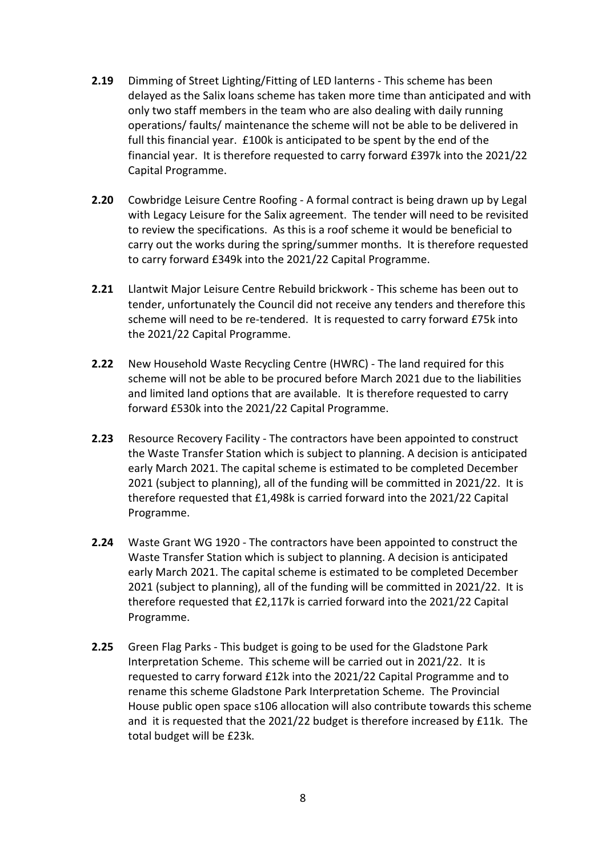- **2.19** Dimming of Street Lighting/Fitting of LED lanterns This scheme has been delayed as the Salix loans scheme has taken more time than anticipated and with only two staff members in the team who are also dealing with daily running operations/ faults/ maintenance the scheme will not be able to be delivered in full this financial year. £100k is anticipated to be spent by the end of the financial year. It is therefore requested to carry forward £397k into the 2021/22 Capital Programme.
- **2.20** Cowbridge Leisure Centre Roofing A formal contract is being drawn up by Legal with Legacy Leisure for the Salix agreement. The tender will need to be revisited to review the specifications. As this is a roof scheme it would be beneficial to carry out the works during the spring/summer months. It is therefore requested to carry forward £349k into the 2021/22 Capital Programme.
- **2.21** Llantwit Major Leisure Centre Rebuild brickwork This scheme has been out to tender, unfortunately the Council did not receive any tenders and therefore this scheme will need to be re-tendered. It is requested to carry forward £75k into the 2021/22 Capital Programme.
- **2.22** New Household Waste Recycling Centre (HWRC) The land required for this scheme will not be able to be procured before March 2021 due to the liabilities and limited land options that are available. It is therefore requested to carry forward £530k into the 2021/22 Capital Programme.
- **2.23** Resource Recovery Facility The contractors have been appointed to construct the Waste Transfer Station which is subject to planning. A decision is anticipated early March 2021. The capital scheme is estimated to be completed December 2021 (subject to planning), all of the funding will be committed in 2021/22. It is therefore requested that £1,498k is carried forward into the 2021/22 Capital Programme.
- **2.24** Waste Grant WG 1920 The contractors have been appointed to construct the Waste Transfer Station which is subject to planning. A decision is anticipated early March 2021. The capital scheme is estimated to be completed December 2021 (subject to planning), all of the funding will be committed in 2021/22. It is therefore requested that £2,117k is carried forward into the 2021/22 Capital Programme.
- **2.25** Green Flag Parks This budget is going to be used for the Gladstone Park Interpretation Scheme. This scheme will be carried out in 2021/22. It is requested to carry forward £12k into the 2021/22 Capital Programme and to rename this scheme Gladstone Park Interpretation Scheme. The Provincial House public open space s106 allocation will also contribute towards this scheme and it is requested that the 2021/22 budget is therefore increased by £11k. The total budget will be £23k.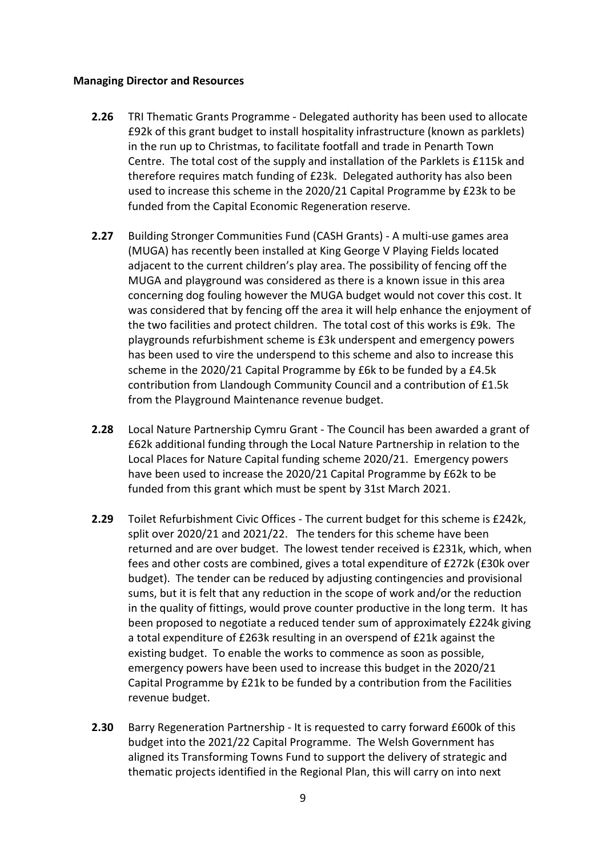#### **Managing Director and Resources**

- **2.26** TRI Thematic Grants Programme Delegated authority has been used to allocate £92k of this grant budget to install hospitality infrastructure (known as parklets) in the run up to Christmas, to facilitate footfall and trade in Penarth Town Centre. The total cost of the supply and installation of the Parklets is £115k and therefore requires match funding of £23k. Delegated authority has also been used to increase this scheme in the 2020/21 Capital Programme by £23k to be funded from the Capital Economic Regeneration reserve.
- **2.27** Building Stronger Communities Fund (CASH Grants) A multi-use games area (MUGA) has recently been installed at King George V Playing Fields located adjacent to the current children's play area. The possibility of fencing off the MUGA and playground was considered as there is a known issue in this area concerning dog fouling however the MUGA budget would not cover this cost. It was considered that by fencing off the area it will help enhance the enjoyment of the two facilities and protect children. The total cost of this works is £9k. The playgrounds refurbishment scheme is £3k underspent and emergency powers has been used to vire the underspend to this scheme and also to increase this scheme in the 2020/21 Capital Programme by £6k to be funded by a £4.5k contribution from Llandough Community Council and a contribution of £1.5k from the Playground Maintenance revenue budget.
- **2.28** Local Nature Partnership Cymru Grant The Council has been awarded a grant of £62k additional funding through the Local Nature Partnership in relation to the Local Places for Nature Capital funding scheme 2020/21. Emergency powers have been used to increase the 2020/21 Capital Programme by £62k to be funded from this grant which must be spent by 31st March 2021.
- **2.29** Toilet Refurbishment Civic Offices The current budget for this scheme is £242k, split over 2020/21 and 2021/22. The tenders for this scheme have been returned and are over budget. The lowest tender received is £231k, which, when fees and other costs are combined, gives a total expenditure of £272k (£30k over budget). The tender can be reduced by adjusting contingencies and provisional sums, but it is felt that any reduction in the scope of work and/or the reduction in the quality of fittings, would prove counter productive in the long term. It has been proposed to negotiate a reduced tender sum of approximately £224k giving a total expenditure of £263k resulting in an overspend of £21k against the existing budget. To enable the works to commence as soon as possible, emergency powers have been used to increase this budget in the 2020/21 Capital Programme by £21k to be funded by a contribution from the Facilities revenue budget.
- **2.30** Barry Regeneration Partnership It is requested to carry forward £600k of this budget into the 2021/22 Capital Programme. The Welsh Government has aligned its Transforming Towns Fund to support the delivery of strategic and thematic projects identified in the Regional Plan, this will carry on into next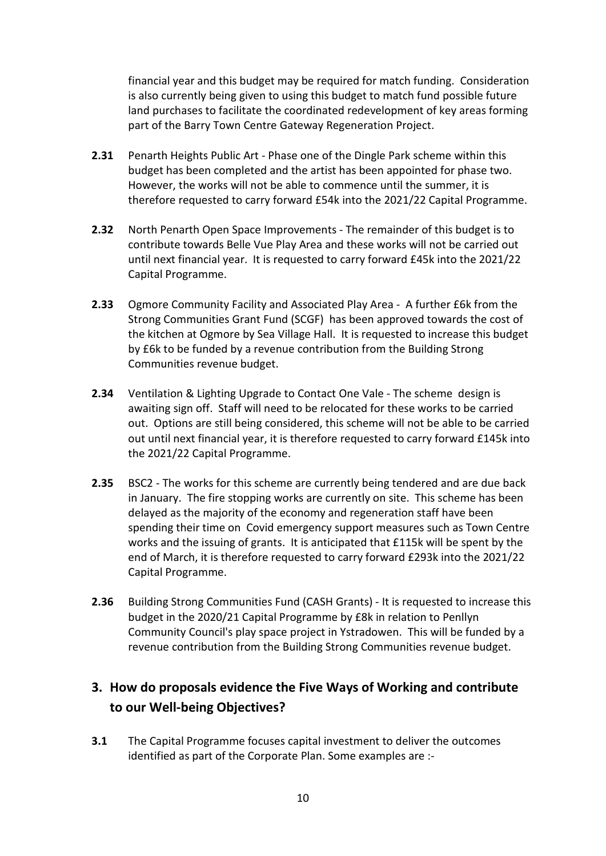financial year and this budget may be required for match funding. Consideration is also currently being given to using this budget to match fund possible future land purchases to facilitate the coordinated redevelopment of key areas forming part of the Barry Town Centre Gateway Regeneration Project.

- **2.31** Penarth Heights Public Art Phase one of the Dingle Park scheme within this budget has been completed and the artist has been appointed for phase two. However, the works will not be able to commence until the summer, it is therefore requested to carry forward £54k into the 2021/22 Capital Programme.
- **2.32** North Penarth Open Space Improvements The remainder of this budget is to contribute towards Belle Vue Play Area and these works will not be carried out until next financial year. It is requested to carry forward £45k into the 2021/22 Capital Programme.
- **2.33** Ogmore Community Facility and Associated Play Area A further £6k from the Strong Communities Grant Fund (SCGF) has been approved towards the cost of the kitchen at Ogmore by Sea Village Hall. It is requested to increase this budget by £6k to be funded by a revenue contribution from the Building Strong Communities revenue budget.
- **2.34** Ventilation & Lighting Upgrade to Contact One Vale The scheme design is awaiting sign off. Staff will need to be relocated for these works to be carried out. Options are still being considered, this scheme will not be able to be carried out until next financial year, it is therefore requested to carry forward £145k into the 2021/22 Capital Programme.
- **2.35** BSC2 The works for this scheme are currently being tendered and are due back in January. The fire stopping works are currently on site. This scheme has been delayed as the majority of the economy and regeneration staff have been spending their time on Covid emergency support measures such as Town Centre works and the issuing of grants. It is anticipated that £115k will be spent by the end of March, it is therefore requested to carry forward £293k into the 2021/22 Capital Programme.
- **2.36** Building Strong Communities Fund (CASH Grants) It is requested to increase this budget in the 2020/21 Capital Programme by £8k in relation to Penllyn Community Council's play space project in Ystradowen. This will be funded by a revenue contribution from the Building Strong Communities revenue budget.

# **3. How do proposals evidence the Five Ways of Working and contribute to our Well-being Objectives?**

**3.1** The Capital Programme focuses capital investment to deliver the outcomes identified as part of the Corporate Plan. Some examples are :-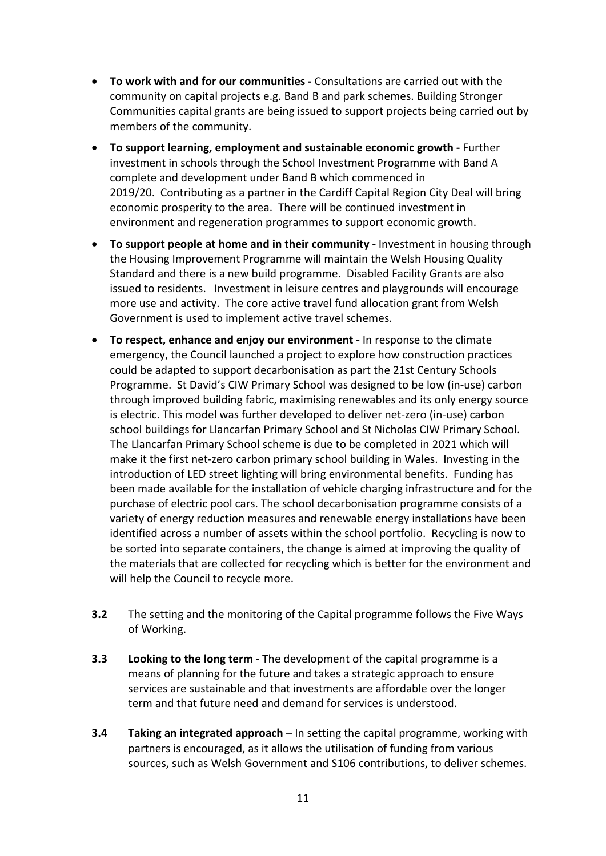- **To work with and for our communities -** Consultations are carried out with the community on capital projects e.g. Band B and park schemes. Building Stronger Communities capital grants are being issued to support projects being carried out by members of the community.
- **To support learning, employment and sustainable economic growth -** Further investment in schools through the School Investment Programme with Band A complete and development under Band B which commenced in 2019/20. Contributing as a partner in the Cardiff Capital Region City Deal will bring economic prosperity to the area. There will be continued investment in environment and regeneration programmes to support economic growth.
- **To support people at home and in their community -** Investment in housing through the Housing Improvement Programme will maintain the Welsh Housing Quality Standard and there is a new build programme. Disabled Facility Grants are also issued to residents. Investment in leisure centres and playgrounds will encourage more use and activity. The core active travel fund allocation grant from Welsh Government is used to implement active travel schemes.
- **To respect, enhance and enjoy our environment -** In response to the climate emergency, the Council launched a project to explore how construction practices could be adapted to support decarbonisation as part the 21st Century Schools Programme. St David's CIW Primary School was designed to be low (in-use) carbon through improved building fabric, maximising renewables and its only energy source is electric. This model was further developed to deliver net-zero (in-use) carbon school buildings for Llancarfan Primary School and St Nicholas CIW Primary School. The Llancarfan Primary School scheme is due to be completed in 2021 which will make it the first net-zero carbon primary school building in Wales. Investing in the introduction of LED street lighting will bring environmental benefits. Funding has been made available for the installation of vehicle charging infrastructure and for the purchase of electric pool cars. The school decarbonisation programme consists of a variety of energy reduction measures and renewable energy installations have been identified across a number of assets within the school portfolio. Recycling is now to be sorted into separate containers, the change is aimed at improving the quality of the materials that are collected for recycling which is better for the environment and will help the Council to recycle more.
- **3.2** The setting and the monitoring of the Capital programme follows the Five Ways of Working.
- **3.3 Looking to the long term -** The development of the capital programme is a means of planning for the future and takes a strategic approach to ensure services are sustainable and that investments are affordable over the longer term and that future need and demand for services is understood.
- **3.4 Taking an integrated approach** In setting the capital programme, working with partners is encouraged, as it allows the utilisation of funding from various sources, such as Welsh Government and S106 contributions, to deliver schemes.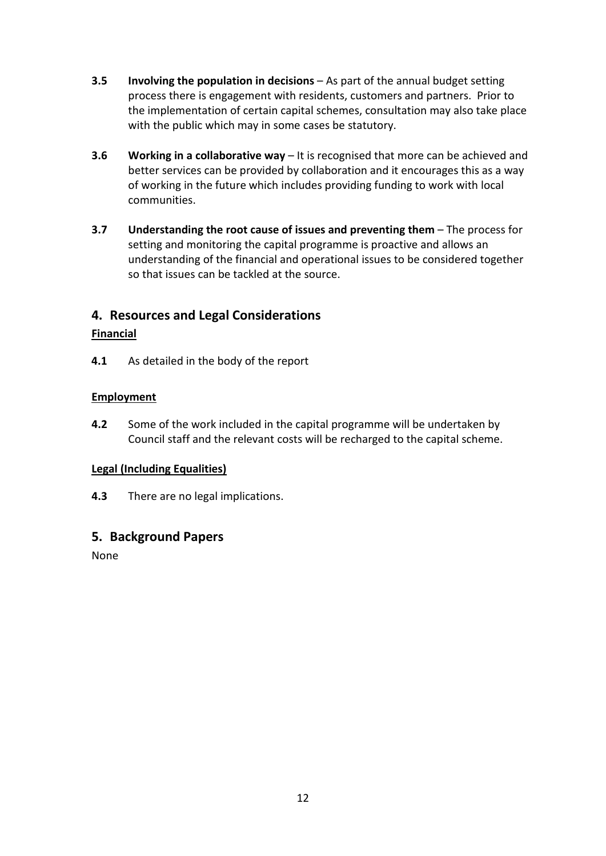- **3.5 Involving the population in decisions** As part of the annual budget setting process there is engagement with residents, customers and partners. Prior to the implementation of certain capital schemes, consultation may also take place with the public which may in some cases be statutory.
- **3.6 Working in a collaborative way** It is recognised that more can be achieved and better services can be provided by collaboration and it encourages this as a way of working in the future which includes providing funding to work with local communities.
- **3.7 Understanding the root cause of issues and preventing them** The process for setting and monitoring the capital programme is proactive and allows an understanding of the financial and operational issues to be considered together so that issues can be tackled at the source.

## **4. Resources and Legal Considerations**

### **Financial**

**4.1** As detailed in the body of the report

### **Employment**

**4.2** Some of the work included in the capital programme will be undertaken by Council staff and the relevant costs will be recharged to the capital scheme.

### **Legal (Including Equalities)**

**4.3** There are no legal implications.

## **5. Background Papers**

None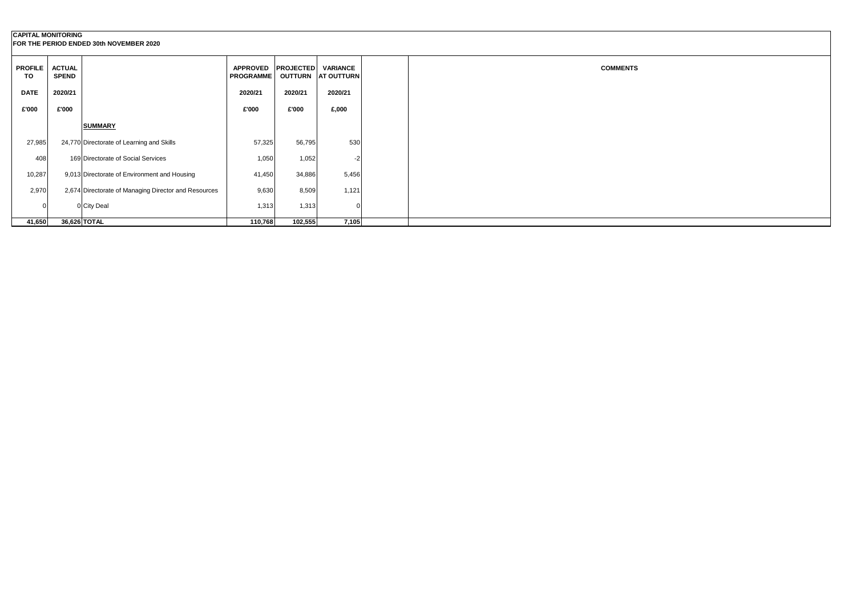## **CAPITAL MONITORING FOR THE PERIOD ENDED 30th NOVEMBER 2020**

| <b>PROFILE</b><br><b>TO</b> | <b>ACTUAL</b><br><b>SPEND</b> |                                                      | <b>APPROVED</b><br><b>PROGRAMME</b> | <b>PROJECTED</b><br><b>OUTTURN</b> | <b>VARIANCE</b><br><b>AT OUTTURN</b> |  |
|-----------------------------|-------------------------------|------------------------------------------------------|-------------------------------------|------------------------------------|--------------------------------------|--|
| <b>DATE</b>                 | 2020/21                       |                                                      | 2020/21                             | 2020/21                            | 2020/21                              |  |
| £'000                       | £'000                         |                                                      | £'000                               | £'000                              | £,000                                |  |
|                             |                               | <b>SUMMARY</b>                                       |                                     |                                    |                                      |  |
| 27,985                      |                               | 24,770 Directorate of Learning and Skills            | 57,325                              | 56,795                             | 530                                  |  |
| 408                         |                               | 169 Directorate of Social Services                   | 1,050                               | 1,052                              | $-2$                                 |  |
| 10,287                      |                               | 9,013 Directorate of Environment and Housing         | 41,450                              | 34,886                             | 5,456                                |  |
| 2,970                       |                               | 2,674 Directorate of Managing Director and Resources | 9,630                               | 8,509                              | 1,121                                |  |
| 0                           |                               | 0 City Deal                                          | 1,313                               | 1,313                              | 0                                    |  |
| 41,650                      |                               | 36,626 TOTAL                                         | 110,768                             | 102,555                            | 7,105                                |  |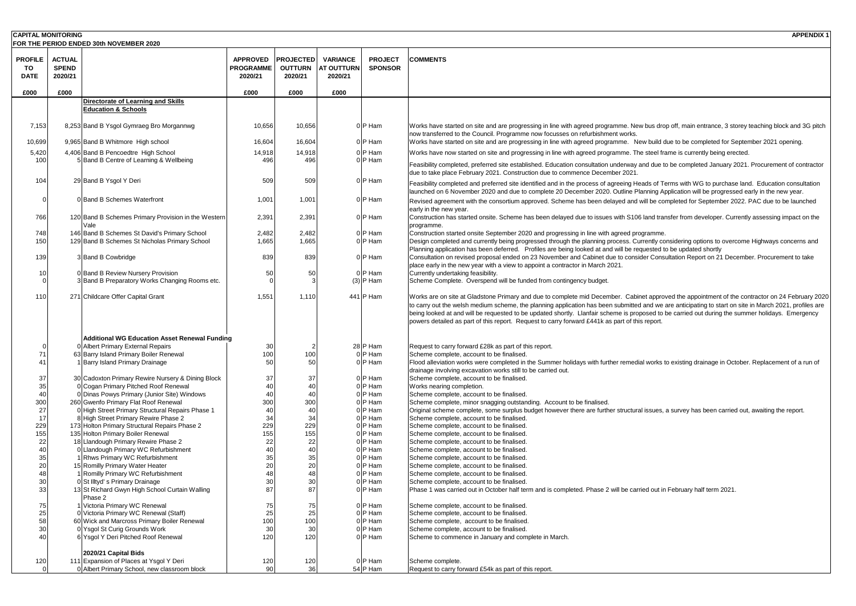| <b>CAPITAL MONITORING</b>           |                                          |                                                                                     |                                                |                                               |                                                 |                                  | <b>APPENDIX1</b>                                                                                                                                                                                                                                                                                                                                                                                                                                                                                                                                                |
|-------------------------------------|------------------------------------------|-------------------------------------------------------------------------------------|------------------------------------------------|-----------------------------------------------|-------------------------------------------------|----------------------------------|-----------------------------------------------------------------------------------------------------------------------------------------------------------------------------------------------------------------------------------------------------------------------------------------------------------------------------------------------------------------------------------------------------------------------------------------------------------------------------------------------------------------------------------------------------------------|
|                                     |                                          | FOR THE PERIOD ENDED 30th NOVEMBER 2020                                             |                                                |                                               |                                                 |                                  |                                                                                                                                                                                                                                                                                                                                                                                                                                                                                                                                                                 |
| <b>PROFILE</b><br>TO<br><b>DATE</b> | <b>ACTUAL</b><br><b>SPEND</b><br>2020/21 |                                                                                     | <b>APPROVED</b><br><b>PROGRAMME</b><br>2020/21 | <b>PROJECTED</b><br><b>OUTTURN</b><br>2020/21 | <b>VARIANCE</b><br><b>AT OUTTURN</b><br>2020/21 | <b>PROJECT</b><br><b>SPONSOR</b> | <b>COMMENTS</b>                                                                                                                                                                                                                                                                                                                                                                                                                                                                                                                                                 |
| £000                                | £000                                     |                                                                                     | £000                                           | £000                                          | £000                                            |                                  |                                                                                                                                                                                                                                                                                                                                                                                                                                                                                                                                                                 |
|                                     |                                          | Directorate of Learning and Skills                                                  |                                                |                                               |                                                 |                                  |                                                                                                                                                                                                                                                                                                                                                                                                                                                                                                                                                                 |
|                                     |                                          | <b>Education &amp; Schools</b>                                                      |                                                |                                               |                                                 |                                  |                                                                                                                                                                                                                                                                                                                                                                                                                                                                                                                                                                 |
| 7,153                               |                                          | 8,253 Band B Ysgol Gymraeg Bro Morgannwg                                            | 10,656                                         | 10,656                                        |                                                 | $0 P$ Ham                        | Works have started on site and are progressing in line with agreed programme. New bus drop off, main entrance, 3 storey teaching block and 3G pitch<br>now transferred to the Council. Programme now focusses on refurbishment works.                                                                                                                                                                                                                                                                                                                           |
| 10,699                              |                                          | 9,965 Band B Whitmore High school                                                   | 16,604                                         | 16,604                                        |                                                 | $0 P$ Ham                        | Works have started on site and are progressing in line with agreed programme. New build due to be completed for September 2021 opening.                                                                                                                                                                                                                                                                                                                                                                                                                         |
| 5,420                               |                                          | 4,406 Band B Pencoedtre High School                                                 | 14,918                                         | 14,918                                        |                                                 | $0 P$ Ham                        | Works have now started on site and progressing in line with agreed programme. The steel frame is currently being erected.                                                                                                                                                                                                                                                                                                                                                                                                                                       |
| 100                                 |                                          | 5 Band B Centre of Learning & Wellbeing                                             | 496                                            | 496                                           |                                                 | $0 P$ Ham                        | Feasibility completed, preferred site established. Education consultation underway and due to be completed January 2021. Procurement of contractor<br>due to take place February 2021. Construction due to commence December 2021.                                                                                                                                                                                                                                                                                                                              |
| 104                                 |                                          | 29 Band B Ysgol Y Deri                                                              | 509                                            | 509                                           |                                                 | $0 P$ Ham                        | Feasibility completed and preferred site identified and in the process of agreeing Heads of Terms with WG to purchase land. Education consultation<br>launched on 6 November 2020 and due to complete 20 December 2020. Outline Planning Application will be progressed early in the new year.                                                                                                                                                                                                                                                                  |
|                                     |                                          | 0 Band B Schemes Waterfront                                                         | 1,001                                          | 1,001                                         |                                                 | $0 P$ Ham                        | Revised agreement with the consortium approved. Scheme has been delayed and will be completed for September 2022. PAC due to be launched<br>early in the new year.                                                                                                                                                                                                                                                                                                                                                                                              |
| 766                                 |                                          | 120 Band B Schemes Primary Provision in the Western                                 | 2,391                                          | 2,391                                         |                                                 | $0 P$ Ham                        | Construction has started onsite. Scheme has been delayed due to issues with S106 land transfer from developer. Currently assessing impact on the<br>programme.                                                                                                                                                                                                                                                                                                                                                                                                  |
| 748                                 |                                          | 146 Band B Schemes St David's Primary School                                        | 2,482                                          | 2,482                                         |                                                 | $0 P$ Ham                        | Construction started onsite September 2020 and progressing in line with agreed programme.                                                                                                                                                                                                                                                                                                                                                                                                                                                                       |
| 150<br>139                          |                                          | 129 Band B Schemes St Nicholas Primary School<br>3 Band B Cowbridge                 | 1,665                                          | 1,665                                         |                                                 | $0 P$ Ham<br>$0$ P Ham           | Design completed and currently being progressed through the planning process. Currently considering options to overcome Highways concerns and<br>Planning application has been deferred. Profiles are being looked at and will be requested to be updated shortly                                                                                                                                                                                                                                                                                               |
|                                     |                                          |                                                                                     | 839                                            | 839                                           |                                                 |                                  | Consultation on revised proposal ended on 23 November and Cabinet due to consider Consultation Report on 21 December. Procurement to take<br>place early in the new year with a view to appoint a contractor in March 2021.                                                                                                                                                                                                                                                                                                                                     |
|                                     |                                          | 0 Band B Review Nursery Provision                                                   | 50                                             |                                               |                                                 | $0$ P Ham                        | Currently undertaking feasibility.                                                                                                                                                                                                                                                                                                                                                                                                                                                                                                                              |
|                                     |                                          | 3 Band B Preparatory Works Changing Rooms etc.                                      |                                                |                                               |                                                 | $(3)$ P Ham                      | Scheme Complete. Overspend will be funded from contingency budget.                                                                                                                                                                                                                                                                                                                                                                                                                                                                                              |
| 110                                 |                                          | 271 Childcare Offer Capital Grant                                                   | 1,551                                          | 1,110                                         |                                                 | 441 $P$ Ham                      | Works are on site at Gladstone Primary and due to complete mid December. Cabinet approved the appointment of the contractor on 24 February 2020<br>to carry out the welsh medium scheme, the planning application has been submitted and we are anticipating to start on site in March 2021, profiles are<br>being looked at and will be requested to be updated shortly. Llanfair scheme is proposed to be carried out during the summer holidays. Emergency<br>powers detailed as part of this report. Request to carry forward £441k as part of this report. |
|                                     |                                          | Additional WG Education Asset Renewal Funding                                       |                                                |                                               |                                                 |                                  |                                                                                                                                                                                                                                                                                                                                                                                                                                                                                                                                                                 |
|                                     |                                          | 0 Albert Primary External Repairs<br>63 Barry Island Primary Boiler Renewal         | 30                                             | 100                                           |                                                 | $28$ P Ham<br>$0 P$ Ham          | Request to carry forward £28k as part of this report.<br>Scheme complete, account to be finalised.                                                                                                                                                                                                                                                                                                                                                                                                                                                              |
|                                     |                                          | 1 Barry Island Primary Drainage                                                     |                                                |                                               |                                                 | $0 P$ Ham                        | Flood alleviation works were completed in the Summer holidays with further remedial works to existing drainage in October. Replacement of a run of<br>drainage involving excavation works still to be carried out.                                                                                                                                                                                                                                                                                                                                              |
| 37                                  |                                          | 30 Cadoxton Primary Rewire Nursery & Dining Block                                   | 37                                             | 37'                                           |                                                 | $0 P$ Ham                        | Scheme complete, account to be finalised.                                                                                                                                                                                                                                                                                                                                                                                                                                                                                                                       |
| 35                                  |                                          | 0 Cogan Primary Pitched Roof Renewal                                                |                                                |                                               |                                                 | $0 P$ Ham                        | Works nearing completion.                                                                                                                                                                                                                                                                                                                                                                                                                                                                                                                                       |
| 300                                 |                                          | 0 Dinas Powys Primary (Junior Site) Windows<br>260 Gwenfo Primary Flat Roof Renewal | 300                                            | 300                                           |                                                 | 0   P Ham<br>$0 P$ Ham           | Scheme complete, account to be finalised.<br>Scheme complete, minor snagging outstanding. Account to be finalised.                                                                                                                                                                                                                                                                                                                                                                                                                                              |
|                                     |                                          | 0 High Street Primary Structural Repairs Phase 1                                    |                                                |                                               |                                                 | 0 P Ham                          | Original scheme complete, some surplus budget however there are further structural issues, a survey has been carried out, awaiting the report.                                                                                                                                                                                                                                                                                                                                                                                                                  |
|                                     |                                          | 8 High Street Primary Rewire Phase 2                                                | 34                                             | 34                                            |                                                 | $0 P$ Ham                        | Scheme complete, account to be finalised.                                                                                                                                                                                                                                                                                                                                                                                                                                                                                                                       |
| 229                                 |                                          | 173 Holton Primary Structural Repairs Phase 2                                       | 229                                            | 229                                           |                                                 | 0   P Ham                        | Scheme complete, account to be finalised.                                                                                                                                                                                                                                                                                                                                                                                                                                                                                                                       |
| 155                                 |                                          | 135 Holton Primary Boiler Renewal                                                   | 155                                            | 155                                           |                                                 | $0 P$ Ham                        | Scheme complete, account to be finalised.                                                                                                                                                                                                                                                                                                                                                                                                                                                                                                                       |
| 22                                  |                                          | 18 Llandough Primary Rewire Phase 2                                                 | 22                                             |                                               |                                                 | 0 P Ham                          | Scheme complete, account to be finalised.                                                                                                                                                                                                                                                                                                                                                                                                                                                                                                                       |
|                                     |                                          | 0 Llandough Primary WC Refurbishment                                                |                                                |                                               |                                                 | $0 P$ Ham                        | Scheme complete, account to be finalised.                                                                                                                                                                                                                                                                                                                                                                                                                                                                                                                       |
| 35                                  |                                          | 1 Rhws Primary WC Refurbishment                                                     |                                                |                                               |                                                 | 0   P Ham                        | Scheme complete, account to be finalised.                                                                                                                                                                                                                                                                                                                                                                                                                                                                                                                       |
| 20                                  |                                          | 15 Romilly Primary Water Heater<br>1 Romilly Primary WC Refurbishment               |                                                |                                               |                                                 | $0 P$ Ham<br>$0 P$ Ham           | Scheme complete, account to be finalised.<br>Scheme complete, account to be finalised.                                                                                                                                                                                                                                                                                                                                                                                                                                                                          |
| 30                                  |                                          | 0 St Illtyd's Primary Drainage                                                      |                                                |                                               |                                                 | $0 P$ Ham                        | Scheme complete, account to be finalised.                                                                                                                                                                                                                                                                                                                                                                                                                                                                                                                       |
| 33                                  |                                          | 13 St Richard Gwyn High School Curtain Walling                                      |                                                | 87                                            |                                                 | $0 P$ Ham                        | Phase 1 was carried out in October half term and is completed. Phase 2 will be carried out in February half term 2021.                                                                                                                                                                                                                                                                                                                                                                                                                                          |
| 75                                  |                                          | Phase 2<br>1 Victoria Primary WC Renewal                                            | 75                                             | 75                                            |                                                 | $0 P$ Ham                        | Scheme complete, account to be finalised.                                                                                                                                                                                                                                                                                                                                                                                                                                                                                                                       |
| 25                                  |                                          | 0 Victoria Primary WC Renewal (Staff)                                               | 25                                             | 25                                            |                                                 | $0 P$ Ham                        | Scheme complete, account to be finalised.                                                                                                                                                                                                                                                                                                                                                                                                                                                                                                                       |
| 58                                  |                                          | 60 Wick and Marcross Primary Boiler Renewal                                         |                                                | 100                                           |                                                 | $0 P$ Ham                        | Scheme complete, account to be finalised.                                                                                                                                                                                                                                                                                                                                                                                                                                                                                                                       |
| 30                                  |                                          | 0 Ysgol St Curig Grounds Work                                                       |                                                |                                               |                                                 | $0 P$ Ham                        | Scheme complete, account to be finalised.                                                                                                                                                                                                                                                                                                                                                                                                                                                                                                                       |
| 40                                  |                                          | 6 Ysgol Y Deri Pitched Roof Renewal                                                 | 120                                            | 120                                           |                                                 | $0 P$ Ham                        | Scheme to commence in January and complete in March.                                                                                                                                                                                                                                                                                                                                                                                                                                                                                                            |
| 120                                 |                                          | 2020/21 Capital Bids<br>111 Expansion of Places at Ysgol Y Deri                     | 120                                            | 120                                           |                                                 | $0 P$ Ham                        | Scheme complete.                                                                                                                                                                                                                                                                                                                                                                                                                                                                                                                                                |
|                                     |                                          | 0 Albert Primary School, new classroom block                                        | 90                                             | 36                                            |                                                 | $54$ P Ham                       | Request to carry forward £54k as part of this report.                                                                                                                                                                                                                                                                                                                                                                                                                                                                                                           |
|                                     |                                          |                                                                                     |                                                |                                               |                                                 |                                  |                                                                                                                                                                                                                                                                                                                                                                                                                                                                                                                                                                 |

- 5ite and are progressing in line with agreed programme. New bus drop off, main entrance, 3 storey teaching block and 3G pitch Council. Programme now focusses on refurbishment works.
- site and are progressing in line with agreed programme. New build due to be completed for September 2021 opening.
- I on site and progressing in line with agreed programme. The steel frame is currently being erected.
- referred site established. Education consultation underway and due to be completed January 2021. Procurement of contractor ary 2021. Construction due to commence December 2021.
- Id preferred site identified and in the process of agreeing Heads of Terms with WG to purchase land. Education consultation er 2020 and due to complete 20 December 2020. Outline Planning Application will be progressed early in the new year. the consortium approved. Scheme has been delayed and will be completed for September 2022. PAC due to be launched
- onsite. Scheme has been delayed due to issues with S106 land transfer from developer. Currently assessing impact on the
- site September 2020 and progressing in line with agreed programme.
- turrently being progressed through the planning process. Currently considering options to overcome Highways concerns and s been deferred. Profiles are being looked at and will be requested to be updated shortly
- proposal ended on 23 November and Cabinet due to consider Consultation Report on 21 December. Procurement to take ear with a view to appoint a contractor in March 2021.
- 
- erspend will be funded from contingency budget.
- 1111 adstone Primary and due to complete mid December. Cabinet approved the appointment of the contractor on 24 February 2020 edium scheme, the planning application has been submitted and we are anticipating to start on site in March 2021, profiles are be requested to be updated shortly. Llanfair scheme is proposed to be carried out during the summer holidays. Emergency of this report. Request to carry forward £441k as part of this report.
- d £28k as part of this report.
- 
- were completed in the Summer holidays with further remedial works to existing drainage in October. Replacement of a run of vation works still to be carried out.
- 
- 
- 
- If snagging outstanding. Account to be finalised.
- <sup>2</sup> te, some surplus budget however there are further structural issues, a survey has been carried out, awaiting the report.
- 
- 
- 
- 
- 
- 
- 
- 
- 
- t in October half term and is completed. Phase 2 will be carried out in February half term 2021.
- 
- 
- 
- 
- n January and complete in March.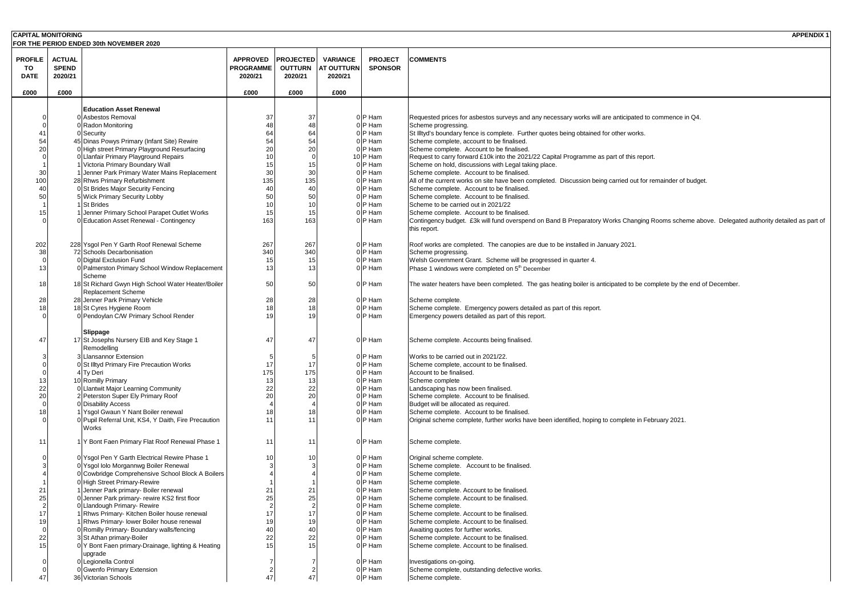| <b>CAPITAL MONITORING</b> |               |                                                                                            |                      |                  |                             |                        | <b>APPENDIX1</b>                                                                                                                                         |
|---------------------------|---------------|--------------------------------------------------------------------------------------------|----------------------|------------------|-----------------------------|------------------------|----------------------------------------------------------------------------------------------------------------------------------------------------------|
|                           |               | FOR THE PERIOD ENDED 30th NOVEMBER 2020                                                    |                      |                  |                             |                        |                                                                                                                                                          |
| <b>PROFILE</b>            | <b>ACTUAL</b> |                                                                                            | <b>APPROVED</b>      | <b>PROJECTED</b> | <b>VARIANCE</b>             | <b>PROJECT</b>         | <b>COMMENTS</b>                                                                                                                                          |
| <b>TO</b>                 | <b>SPEND</b>  |                                                                                            | <b>PROGRAMME</b>     |                  | <b>OUTTURN   AT OUTTURN</b> | <b>SPONSOR</b>         |                                                                                                                                                          |
| <b>DATE</b>               | 2020/21       |                                                                                            | 2020/21              | 2020/21          | 2020/21                     |                        |                                                                                                                                                          |
|                           |               |                                                                                            |                      |                  |                             |                        |                                                                                                                                                          |
| £000                      | £000          |                                                                                            | £000                 | £000             | £000                        |                        |                                                                                                                                                          |
|                           |               |                                                                                            |                      |                  |                             |                        |                                                                                                                                                          |
|                           |               | <b>Education Asset Renewal</b>                                                             |                      |                  |                             |                        |                                                                                                                                                          |
|                           |               | 0 Asbestos Removal<br>0 Radon Monitoring                                                   | 37                   | 37               |                             | $0 P$ Ham<br>0   P Ham | Requested prices for asbestos surveys and any necessary works will are anticipated to commence in Q4.<br>Scheme progressing.                             |
|                           |               | 0 Security                                                                                 |                      |                  |                             | $0 P$ Ham              | St Illtyd's boundary fence is complete. Further quotes being obtained for other works.                                                                   |
| 54                        |               | 45 Dinas Powys Primary (Infant Site) Rewire                                                |                      |                  |                             | $0 P$ Ham              | Scheme complete, account to be finalised.                                                                                                                |
|                           |               | 0 High street Primary Playground Resurfacing                                               |                      |                  |                             | $0 P$ Ham              | Scheme complete. Account to be finalised.                                                                                                                |
|                           |               | 0 Llanfair Primary Playground Repairs                                                      |                      |                  |                             | $10$ P Ham             | Request to carry forward £10k into the 2021/22 Capital Programme as part of this report.                                                                 |
|                           |               | 1 Victoria Primary Boundary Wall                                                           |                      |                  |                             | $0$ P Ham              | Scheme on hold, discussions with Legal taking place.                                                                                                     |
| 30                        |               | 1 Jenner Park Primary Water Mains Replacement                                              | 3 <sub>0</sub>       |                  |                             | $0 P$ Ham              | Scheme complete. Account to be finalised.                                                                                                                |
| 100                       |               | 28 Rhws Primary Refurbishment<br>0 St Brides Major Security Fencing                        | 135                  | 135              |                             | $0 P$ Ham<br>0 P Ham   | All of the current works on site have been completed. Discussion being carried out for remainder of budget.<br>Scheme complete. Account to be finalised. |
|                           |               | 5 Wick Primary Security Lobby                                                              |                      |                  |                             | $0 P$ Ham              | Scheme complete. Account to be finalised.                                                                                                                |
|                           |               | 1 St Brides                                                                                |                      |                  |                             | $0$ P Ham              | Scheme to be carried out in 2021/22                                                                                                                      |
|                           |               | 1 Jenner Primary School Parapet Outlet Works                                               |                      |                  |                             | $0 P$ Ham              | Scheme complete. Account to be finalised.                                                                                                                |
|                           |               | 0 Education Asset Renewal - Contingency                                                    | 163                  | 163              |                             | $0$ P Ham              | Contingency budget. £3k will fund overspend on Band B Preparatory Works Changing Rooms scheme above. Delegated authority detailed as part of             |
|                           |               |                                                                                            |                      |                  |                             |                        | this report.                                                                                                                                             |
|                           |               |                                                                                            |                      |                  |                             |                        |                                                                                                                                                          |
| 202                       |               | 228 Ysgol Pen Y Garth Roof Renewal Scheme                                                  | 267                  | 267              |                             | $0 P$ Ham              | Roof works are completed. The canopies are due to be installed in January 2021.                                                                          |
| 38                        |               | 72 Schools Decarbonisation<br>0 Digital Exclusion Fund                                     | 340                  | 340              |                             | $0 P$ Ham<br>0 P Ham   | Scheme progressing.<br>Welsh Government Grant. Scheme will be progressed in quarter 4.                                                                   |
|                           |               | 0 Palmerston Primary School Window Replacement                                             | 12                   | 13               |                             | $0 P$ Ham              | Phase 1 windows were completed on 5 <sup>th</sup> December                                                                                               |
|                           |               | Scheme                                                                                     | ιv                   | ιυ               |                             |                        |                                                                                                                                                          |
| 18                        |               | 18 St Richard Gwyn High School Water Heater/Boiler                                         | 50                   | 50               |                             | $0 P$ Ham              | The water heaters have been completed. The gas heating boiler is anticipated to be complete by the end of December.                                      |
|                           |               | <b>Replacement Scheme</b>                                                                  |                      |                  |                             |                        |                                                                                                                                                          |
| 28                        |               | 28 Jenner Park Primary Vehicle                                                             | 28                   | 28               |                             | $0 P$ Ham              | Scheme complete.                                                                                                                                         |
|                           |               | 18 St Cyres Hygiene Room                                                                   |                      |                  |                             | $0$ P Ham              | Scheme complete. Emergency powers detailed as part of this report.                                                                                       |
|                           |               | 0 Pendoylan C/W Primary School Render                                                      |                      |                  |                             | $0 P$ Ham              | Emergency powers detailed as part of this report.                                                                                                        |
|                           |               | Slippage                                                                                   |                      |                  |                             |                        |                                                                                                                                                          |
| 47                        |               | 17 St Josephs Nursery EIB and Key Stage 1                                                  | 47                   | 47               |                             | $0 P$ Ham              | Scheme complete. Accounts being finalised.                                                                                                               |
|                           |               | Remodelling                                                                                |                      |                  |                             |                        |                                                                                                                                                          |
|                           |               | 3 Llansannor Extension                                                                     |                      |                  |                             | $0 P$ Ham              | Works to be carried out in 2021/22.                                                                                                                      |
|                           |               | 0 St Illtyd Primary Fire Precaution Works                                                  |                      |                  |                             | $0$  P Ham             | Scheme complete, account to be finalised.                                                                                                                |
|                           |               | 4 Ty Deri                                                                                  | 175                  | 175              |                             | 0 P Ham                | Account to be finalised.                                                                                                                                 |
|                           |               | 10 Romilly Primary                                                                         |                      |                  |                             | $0$ P Ham              | Scheme complete                                                                                                                                          |
|                           |               | 0 Llantwit Major Learning Community                                                        | 22<br>2 <sub>C</sub> | 22               |                             | 0 P Ham                | Landscaping has now been finalised.                                                                                                                      |
|                           |               | 2 Peterston Super Ely Primary Roof<br>0 Disability Access                                  |                      |                  |                             | $0 P$ Ham<br>0 P Ham   | Scheme complete. Account to be finalised.<br>Budget will be allocated as required.                                                                       |
|                           |               | 1 Ysgol Gwaun Y Nant Boiler renewal                                                        |                      |                  |                             | $0 P$ Ham              | Scheme complete. Account to be finalised.                                                                                                                |
|                           |               | 0 Pupil Referral Unit, KS4, Y Daith, Fire Precaution                                       |                      |                  |                             | $0 P$ Ham              | Original scheme complete, further works have been identified, hoping to complete in February 2021.                                                       |
|                           |               | <b>Works</b>                                                                               |                      |                  |                             |                        |                                                                                                                                                          |
| -11                       |               | 1 Y Bont Faen Primary Flat Roof Renewal Phase 1                                            |                      | 11               |                             | $0$ P Ham              |                                                                                                                                                          |
|                           |               |                                                                                            |                      |                  |                             |                        | Scheme complete.                                                                                                                                         |
|                           |               | 0 Ysgol Pen Y Garth Electrical Rewire Phase 1                                              |                      |                  |                             | $0 P$ Ham              | Original scheme complete.                                                                                                                                |
|                           |               | 0 Ysgol Iolo Morgannwg Boiler Renewal                                                      |                      |                  |                             | 0 P Ham                | Scheme complete. Account to be finalised.                                                                                                                |
|                           |               | 0 Cowbridge Comprehensive School Block A Boilers                                           |                      |                  |                             | 0 P Ham                | Scheme complete.                                                                                                                                         |
|                           |               | 0 High Street Primary-Rewire                                                               |                      |                  |                             | $0$ P Ham              | Scheme complete.                                                                                                                                         |
|                           |               | 1 Jenner Park primary- Boiler renewal                                                      |                      |                  |                             | 0 P Ham                | Scheme complete. Account to be finalised.                                                                                                                |
|                           |               | 0 Jenner Park primary- rewire KS2 first floor                                              |                      | 25               |                             | 0   P Ham              | Scheme complete. Account to be finalised.                                                                                                                |
|                           |               | 0 Llandough Primary- Rewire                                                                |                      |                  |                             | $0 P$ Ham              | Scheme complete.                                                                                                                                         |
| 17                        |               | 1 Rhws Primary- Kitchen Boiler house renewal<br>1 Rhws Primary- lower Boiler house renewal |                      |                  |                             | $0 P$ Ham<br>$0 P$ Ham | Scheme complete. Account to be finalised.<br>Scheme complete. Account to be finalised.                                                                   |
|                           |               | 0 Romilly Primary- Boundary walls/fencing                                                  |                      |                  |                             | $0 P$ Ham              | Awaiting quotes for further works.                                                                                                                       |
| 22                        |               | 3 St Athan primary-Boiler                                                                  |                      |                  |                             | $0 P$ Ham              | Scheme complete. Account to be finalised.                                                                                                                |
|                           |               | 0 Y Bont Faen primary-Drainage, lighting & Heating                                         |                      |                  |                             | $0 P$ Ham              | Scheme complete. Account to be finalised.                                                                                                                |
|                           |               | upgrade                                                                                    |                      |                  |                             |                        |                                                                                                                                                          |
|                           |               | 0 Legionella Control                                                                       |                      |                  |                             | $0 P$ Ham              | Investigations on-going.                                                                                                                                 |
|                           |               | 0 Gwenfo Primary Extension                                                                 |                      |                  |                             | $0 P$ Ham              | Scheme complete, outstanding defective works.                                                                                                            |
| 47                        |               | 36 Victorian Schools                                                                       |                      |                  |                             | $0 P$ Ham              | Scheme complete.                                                                                                                                         |

- ce is complete. Further quotes being obtained for other works.
- bunt to be finalised.
- count to be finalised.
- rd £10k into the 2021/22 Capital Programme as part of this report.
- ssions with Legal taking place.
- count to be finalised.
- on site have been completed. Discussion being carried out for remainder of budget.
- count to be finalised.
- sount to be finalised.
- 
- count to be finalised.
- 3k will fund overspend on Band B Preparatory Works Changing Rooms scheme above. Delegated authority detailed as part of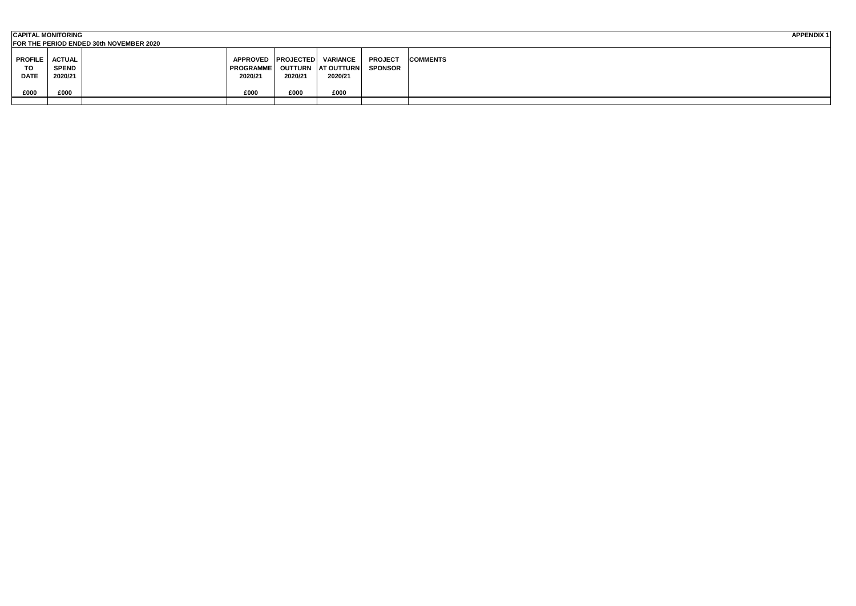|                | <b>CAPITAL MONITORING</b><br><b>APPENDIX1</b> |  |                  |         |                                 |                |                 |  |  |  |  |
|----------------|-----------------------------------------------|--|------------------|---------|---------------------------------|----------------|-----------------|--|--|--|--|
|                | FOR THE PERIOD ENDED 30th NOVEMBER 2020       |  |                  |         |                                 |                |                 |  |  |  |  |
|                |                                               |  |                  |         |                                 |                |                 |  |  |  |  |
| <b>PROFILE</b> | <b>ACTUAL</b>                                 |  |                  |         | APPROVED   PROJECTED   VARIANCE | <b>PROJECT</b> | <b>COMMENTS</b> |  |  |  |  |
| TO             | <b>SPEND</b>                                  |  | <b>PROGRAMME</b> |         | OUTTURN   AT OUTTURN            | <b>SPONSOR</b> |                 |  |  |  |  |
| <b>DATE</b>    | 2020/21                                       |  | 2020/21          | 2020/21 | 2020/21                         |                |                 |  |  |  |  |
|                |                                               |  |                  |         |                                 |                |                 |  |  |  |  |
| £000           | £000                                          |  | £000             | £000    | £000                            |                |                 |  |  |  |  |
|                |                                               |  |                  |         |                                 |                |                 |  |  |  |  |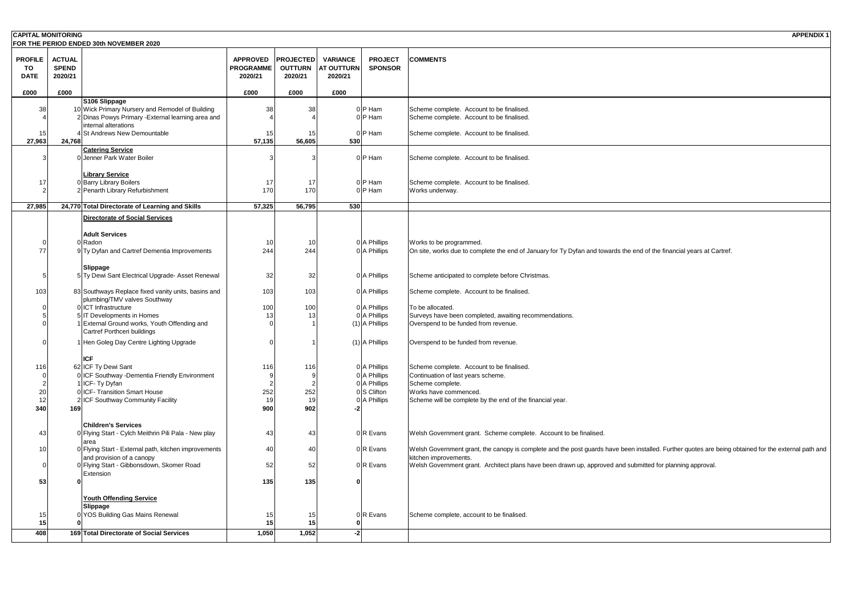| <b>CAPITAL MONITORING</b>                  |                                          | FOR THE PERIOD ENDED 30th NOVEMBER 2020                                                               |                                                |                                               |                                                 |                                    | <b>APPENDIX1</b>                                                                                                                                    |
|--------------------------------------------|------------------------------------------|-------------------------------------------------------------------------------------------------------|------------------------------------------------|-----------------------------------------------|-------------------------------------------------|------------------------------------|-----------------------------------------------------------------------------------------------------------------------------------------------------|
| <b>PROFILE</b><br><b>TO</b><br><b>DATE</b> | <b>ACTUAL</b><br><b>SPEND</b><br>2020/21 |                                                                                                       | <b>APPROVED</b><br><b>PROGRAMME</b><br>2020/21 | <b>PROJECTED</b><br><b>OUTTURN</b><br>2020/21 | <b>VARIANCE</b><br><b>AT OUTTURN</b><br>2020/21 | <b>PROJECT</b><br><b>SPONSOR</b>   | <b>COMMENTS</b>                                                                                                                                     |
| £000                                       | £000                                     |                                                                                                       | £000                                           | £000                                          | £000                                            |                                    |                                                                                                                                                     |
|                                            |                                          | S106 Slippage                                                                                         |                                                |                                               |                                                 |                                    |                                                                                                                                                     |
| 38                                         |                                          | 10 Wick Primary Nursery and Remodel of Building<br>2 Dinas Powys Primary - External learning area and | 38                                             | 38                                            |                                                 | $0 P$ Ham<br>$0 P$ Ham             | Scheme complete. Account to be finalised.<br>Scheme complete. Account to be finalised.                                                              |
|                                            |                                          | internal alterations                                                                                  |                                                |                                               |                                                 |                                    |                                                                                                                                                     |
| 15 <sub>l</sub><br>27,963                  | 24,768                                   | <b>St Andrews New Demountable</b>                                                                     | 15<br>57,135                                   | 56,605                                        | 530                                             | $0 P$ Ham                          | Scheme complete. Account to be finalised.                                                                                                           |
|                                            |                                          | <b>Catering Service</b>                                                                               |                                                |                                               |                                                 |                                    |                                                                                                                                                     |
|                                            |                                          | 0 Jenner Park Water Boiler                                                                            |                                                |                                               |                                                 | $0 P$ Ham                          | Scheme complete. Account to be finalised.                                                                                                           |
|                                            |                                          | <b>Library Service</b>                                                                                |                                                |                                               |                                                 |                                    |                                                                                                                                                     |
| -17                                        |                                          | 0 Barry Library Boilers<br>2 Penarth Library Refurbishment                                            | 17<br>170                                      | 17<br>170                                     |                                                 | $0 P$ Ham<br>$0 P$ Ham             | Scheme complete. Account to be finalised.<br>Works underway.                                                                                        |
|                                            |                                          |                                                                                                       |                                                |                                               |                                                 |                                    |                                                                                                                                                     |
| 27,985                                     |                                          | 24,770 Total Directorate of Learning and Skills                                                       | 57,325                                         | 56,795                                        | 530                                             |                                    |                                                                                                                                                     |
|                                            |                                          | Directorate of Social Services                                                                        |                                                |                                               |                                                 |                                    |                                                                                                                                                     |
|                                            |                                          | <b>Adult Services</b>                                                                                 |                                                |                                               |                                                 |                                    |                                                                                                                                                     |
|                                            |                                          | 0 Radon                                                                                               | 10l                                            | 10                                            |                                                 | $0$ A Phillips                     | Works to be programmed.                                                                                                                             |
| 77                                         |                                          | 9 Ty Dyfan and Cartref Dementia Improvements                                                          | 244                                            | 244                                           |                                                 | $0$ A Phillips                     | On site, works due to complete the end of January for Ty Dyfan and towards the end of the financial years at Cartref.                               |
|                                            |                                          | <b>Slippage</b>                                                                                       |                                                |                                               |                                                 |                                    |                                                                                                                                                     |
|                                            |                                          | 5 Ty Dewi Sant Electrical Upgrade- Asset Renewal                                                      | 32                                             | 32                                            |                                                 | $0$ A Phillips                     | Scheme anticipated to complete before Christmas.                                                                                                    |
| 103                                        |                                          | 83 Southways Replace fixed vanity units, basins and                                                   | 103                                            | 103                                           |                                                 | $0$ A Phillips                     | Scheme complete. Account to be finalised.                                                                                                           |
|                                            |                                          | plumbing/TMV valves Southway                                                                          |                                                |                                               |                                                 |                                    |                                                                                                                                                     |
|                                            |                                          | 0 <b>ICT</b> Infrastructure                                                                           | 100                                            | 100                                           |                                                 | $0$   A Phillips                   | To be allocated.                                                                                                                                    |
|                                            |                                          | <b>IT Developments in Homes</b><br><b>External Ground works, Youth Offending and</b>                  | 13                                             |                                               |                                                 | $0$ A Phillips<br>$(1)$ A Phillips | Surveys have been completed, awaiting recommendations.<br>Overspend to be funded from revenue.                                                      |
|                                            |                                          | Cartref Porthceri buildings                                                                           |                                                |                                               |                                                 |                                    |                                                                                                                                                     |
|                                            |                                          | 1 Hen Goleg Day Centre Lighting Upgrade                                                               |                                                |                                               |                                                 | $(1)$ A Phillips                   | Overspend to be funded from revenue.                                                                                                                |
|                                            |                                          | <b>ICF</b>                                                                                            |                                                |                                               |                                                 |                                    |                                                                                                                                                     |
| 116                                        |                                          | 62 ICF Ty Dewi Sant                                                                                   | 116                                            | 116                                           |                                                 | $0$   A Phillips                   | Scheme complete. Account to be finalised.                                                                                                           |
|                                            |                                          | 0 ICF Southway - Dementia Friendly Environment                                                        |                                                |                                               |                                                 | $0$ A Phillips                     | Continuation of last years scheme.                                                                                                                  |
|                                            |                                          | √ICF- Ty Dyfan                                                                                        |                                                |                                               |                                                 | $0$ A Phillips                     | Scheme complete.                                                                                                                                    |
| 20                                         |                                          | 0 <b>ICF-</b> Transition Smart House                                                                  | 252<br>19                                      | 252                                           |                                                 | 0S Clifton                         | Works have commenced.                                                                                                                               |
| 340                                        | 169                                      | 2 ICF Southway Community Facility                                                                     | 900                                            | 902                                           |                                                 | $0$ A Phillips                     | Scheme will be complete by the end of the financial year.                                                                                           |
|                                            |                                          |                                                                                                       |                                                |                                               |                                                 |                                    |                                                                                                                                                     |
|                                            |                                          | <b>Children's Services</b>                                                                            |                                                |                                               |                                                 |                                    |                                                                                                                                                     |
| 43                                         |                                          | 0 Flying Start - Cylch Meithrin Pili Pala - New play<br>area                                          | 43                                             | 43                                            |                                                 | $0 R$ Evans                        | Welsh Government grant. Scheme complete. Account to be finalised.                                                                                   |
|                                            |                                          | 0 Flying Start - External path, kitchen improvements                                                  | 40                                             | 40                                            |                                                 | $0 R$ Evans                        | Welsh Government grant, the canopy is complete and the post guards have been installed. Further quotes are being obtained for the external path and |
|                                            |                                          | and provision of a canopy<br>0 Flying Start - Gibbonsdown, Skomer Road                                | 52                                             | 52                                            |                                                 | $0 R$ Evans                        | kitchen improvements.<br>Welsh Government grant. Architect plans have been drawn up, approved and submitted for planning approval.                  |
|                                            |                                          | Extension                                                                                             |                                                |                                               |                                                 |                                    |                                                                                                                                                     |
| 53                                         |                                          |                                                                                                       | 135                                            | 135                                           |                                                 |                                    |                                                                                                                                                     |
|                                            |                                          | <b>Youth Offending Service</b>                                                                        |                                                |                                               |                                                 |                                    |                                                                                                                                                     |
|                                            |                                          | Slippage                                                                                              |                                                |                                               |                                                 |                                    |                                                                                                                                                     |
|                                            |                                          | 0 YOS Building Gas Mains Renewal                                                                      | 15                                             |                                               |                                                 | $0 R$ Evans                        | Scheme complete, account to be finalised.                                                                                                           |
| 15                                         |                                          |                                                                                                       | 15                                             |                                               |                                                 |                                    |                                                                                                                                                     |
| 408                                        |                                          | 169 Total Directorate of Social Services                                                              | 1,050                                          | 1,052                                         | $-2$                                            |                                    |                                                                                                                                                     |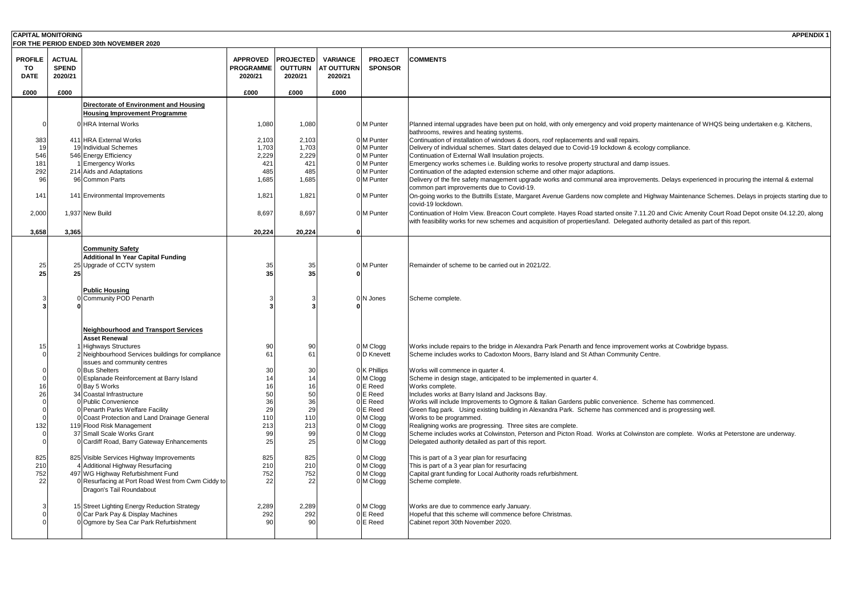| <b>CAPITAL MONITORING</b>           |                                          | FOR THE PERIOD ENDED 30th NOVEMBER 2020           |                                                |                                               |                                                 |                                  | <b>APPENDIX1</b>                                                                                                                                                                                                                                                                  |
|-------------------------------------|------------------------------------------|---------------------------------------------------|------------------------------------------------|-----------------------------------------------|-------------------------------------------------|----------------------------------|-----------------------------------------------------------------------------------------------------------------------------------------------------------------------------------------------------------------------------------------------------------------------------------|
| <b>PROFILE</b><br>TO<br><b>DATE</b> | <b>ACTUAL</b><br><b>SPEND</b><br>2020/21 |                                                   | <b>APPROVED</b><br><b>PROGRAMME</b><br>2020/21 | <b>PROJECTED</b><br><b>OUTTURN</b><br>2020/21 | <b>VARIANCE</b><br><b>AT OUTTURN</b><br>2020/21 | <b>PROJECT</b><br><b>SPONSOR</b> | <b>COMMENTS</b>                                                                                                                                                                                                                                                                   |
| £000                                | £000                                     |                                                   | £000                                           | £000                                          | £000                                            |                                  |                                                                                                                                                                                                                                                                                   |
|                                     |                                          | <b>Directorate of Environment and Housing</b>     |                                                |                                               |                                                 |                                  |                                                                                                                                                                                                                                                                                   |
|                                     |                                          | <b>Housing Improvement Programme</b>              |                                                |                                               |                                                 |                                  |                                                                                                                                                                                                                                                                                   |
|                                     |                                          | 0 HRA Internal Works                              | 1,080                                          | 1,080                                         |                                                 | 0 M Punter                       | Planned internal upgrades have been put on hold, with only emergency and void property maintenance of WHQS being undertaken e.g. Kitchens,<br>bathrooms, rewires and heating systems.                                                                                             |
| 383                                 |                                          | 411 HRA External Works                            | 2,103                                          | 2,103                                         |                                                 | 0 <sup>M</sup> Punter            | Continuation of installation of windows & doors, roof replacements and wall repairs.                                                                                                                                                                                              |
| -19                                 |                                          | 19 Individual Schemes                             | 1,703                                          | 1,703                                         |                                                 | 0 M Punter                       | Delivery of individual schemes. Start dates delayed due to Covid-19 lockdown & ecology compliance.                                                                                                                                                                                |
| 546                                 |                                          | 546 Energy Efficiency                             | 2,229                                          | 2,229                                         |                                                 | 0 M Punter                       | Continuation of External Wall Insulation projects.                                                                                                                                                                                                                                |
| 181                                 |                                          | 1 Emergency Works                                 | 421                                            | 421                                           |                                                 | 0 M Punter                       | Emergency works schemes i.e. Building works to resolve property structural and damp issues.                                                                                                                                                                                       |
| 292                                 |                                          | 214 Aids and Adaptations                          | 485                                            | 485                                           |                                                 | 0 M Punter                       | Continuation of the adapted extension scheme and other major adaptions.                                                                                                                                                                                                           |
| 96                                  |                                          | 96 Common Parts                                   | 1,685                                          | 1,685                                         |                                                 | 0 M Punter                       | Delivery of the fire safety management upgrade works and communal area improvements. Delays experienced in procuring the internal & external<br>common part improvements due to Covid-19.                                                                                         |
| 141                                 |                                          | 141 Environmental Improvements                    | 1,821                                          | 1,821                                         |                                                 | 0 <sup>M</sup> Punter            | On-going works to the Buttrills Estate, Margaret Avenue Gardens now complete and Highway Maintenance Schemes. Delays in projects starting due to                                                                                                                                  |
|                                     |                                          |                                                   |                                                |                                               |                                                 |                                  | covid-19 lockdown.                                                                                                                                                                                                                                                                |
| 2,000                               |                                          | 1,937 New Build                                   | 8,697                                          | 8,697                                         |                                                 | 0 M Punter                       | Continuation of Holm View. Breacon Court complete. Hayes Road started onsite 7.11.20 and Civic Amenity Court Road Depot onsite 04.12.20, along<br>with feasibility works for new schemes and acquisition of properties/land. Delegated authority detailed as part of this report. |
| 3,658                               | 3,365                                    |                                                   | 20,224                                         | 20,224                                        |                                                 |                                  |                                                                                                                                                                                                                                                                                   |
|                                     |                                          |                                                   |                                                |                                               |                                                 |                                  |                                                                                                                                                                                                                                                                                   |
|                                     |                                          | <b>Community Safety</b>                           |                                                |                                               |                                                 |                                  |                                                                                                                                                                                                                                                                                   |
|                                     |                                          | <b>Additional In Year Capital Funding</b>         |                                                |                                               |                                                 |                                  |                                                                                                                                                                                                                                                                                   |
| 25                                  |                                          | 25 Upgrade of CCTV system                         | 35                                             | 35                                            |                                                 | 0 <sup>M</sup> Punter            | Remainder of scheme to be carried out in 2021/22.                                                                                                                                                                                                                                 |
| 25                                  | 25                                       |                                                   | 35                                             | 35                                            |                                                 |                                  |                                                                                                                                                                                                                                                                                   |
|                                     |                                          |                                                   |                                                |                                               |                                                 |                                  |                                                                                                                                                                                                                                                                                   |
|                                     |                                          | <b>Public Housing</b>                             |                                                |                                               |                                                 |                                  |                                                                                                                                                                                                                                                                                   |
|                                     |                                          | 0 Community POD Penarth                           |                                                |                                               |                                                 | N Jones                          | Scheme complete.                                                                                                                                                                                                                                                                  |
|                                     |                                          |                                                   |                                                |                                               |                                                 |                                  |                                                                                                                                                                                                                                                                                   |
|                                     |                                          |                                                   |                                                |                                               |                                                 |                                  |                                                                                                                                                                                                                                                                                   |
|                                     |                                          | Neighbourhood and Transport Services              |                                                |                                               |                                                 |                                  |                                                                                                                                                                                                                                                                                   |
|                                     |                                          | <b>Asset Renewal</b>                              |                                                |                                               |                                                 |                                  |                                                                                                                                                                                                                                                                                   |
|                                     |                                          | 1 Highways Structures                             | 90                                             |                                               |                                                 | $0 \mid M \text{ C}$ logg        | Works include repairs to the bridge in Alexandra Park Penarth and fence improvement works at Cowbridge bypass.                                                                                                                                                                    |
|                                     |                                          | 2 Neighbourhood Services buildings for compliance | 61                                             |                                               |                                                 | 0 D Knevett                      | Scheme includes works to Cadoxton Moors, Barry Island and St Athan Community Centre.                                                                                                                                                                                              |
|                                     |                                          | issues and community centres                      |                                                |                                               |                                                 |                                  |                                                                                                                                                                                                                                                                                   |
|                                     |                                          | 0Bus Shelters                                     | 30                                             |                                               |                                                 | $0$ K Phillips                   | Works will commence in quarter 4.                                                                                                                                                                                                                                                 |
|                                     |                                          | 0 Esplanade Reinforcement at Barry Island         |                                                |                                               |                                                 | 0 M Clogg                        | Scheme in design stage, anticipated to be implemented in quarter 4.                                                                                                                                                                                                               |
|                                     |                                          | 0Bay 5 Works                                      |                                                |                                               |                                                 | E Reed                           | Works complete.                                                                                                                                                                                                                                                                   |
|                                     |                                          | 34 Coastal Infrastructure                         |                                                |                                               |                                                 | E Reed                           | Includes works at Barry Island and Jacksons Bay.                                                                                                                                                                                                                                  |
|                                     |                                          | 0 Public Convenience                              | 36                                             | 36                                            |                                                 | E Reed                           | Works will include Improvements to Ogmore & Italian Gardens public convenience. Scheme has commenced.                                                                                                                                                                             |
|                                     |                                          | 0 Penarth Parks Welfare Facility                  | 29                                             | 29                                            |                                                 | E Reed                           | Green flag park. Using existing building in Alexandra Park. Scheme has commenced and is progressing well.                                                                                                                                                                         |
|                                     |                                          | 0 Coast Protection and Land Drainage General      | 110                                            | 110                                           |                                                 | $0 \mid M$ Clogg                 | Works to be programmed.                                                                                                                                                                                                                                                           |
| 132                                 |                                          | 119 Flood Risk Management                         | 213                                            | 213                                           |                                                 | $0 \, \textsf{M}$ Clogg          | Realigning works are progressing. Three sites are complete.                                                                                                                                                                                                                       |
|                                     |                                          | 37 Small Scale Works Grant                        |                                                | 99                                            |                                                 | 0 M Clogg                        | Scheme includes works at Colwinston, Peterson and Picton Road. Works at Colwinston are complete. Works at Peterstone are underway.                                                                                                                                                |
|                                     |                                          | 0 Cardiff Road, Barry Gateway Enhancements        | 25                                             | 25                                            |                                                 | 0 M Clogg                        | Delegated authority detailed as part of this report.                                                                                                                                                                                                                              |
| 825                                 |                                          | 825 Visible Services Highway Improvements         | 825                                            | 825                                           |                                                 | $0 \, \text{M}$ Clogg            | This is part of a 3 year plan for resurfacing                                                                                                                                                                                                                                     |
| 21C                                 |                                          | 4 Additional Highway Resurfacing                  | 210                                            | 210                                           |                                                 | $0 \mid M$ Clogg                 | This is part of a 3 year plan for resurfacing                                                                                                                                                                                                                                     |
| 752                                 |                                          | 497 WG Highway Refurbishment Fund                 | 752                                            | 752                                           |                                                 | 0 M Clogg                        | Capital grant funding for Local Authority roads refurbishment.                                                                                                                                                                                                                    |
| 22                                  |                                          | 0 Resurfacing at Port Road West from Cwm Ciddy to | 22                                             | 22                                            |                                                 | $0 \mid M$ Clogg                 | Scheme complete.                                                                                                                                                                                                                                                                  |
|                                     |                                          | Dragon's Tail Roundabout                          |                                                |                                               |                                                 |                                  |                                                                                                                                                                                                                                                                                   |
|                                     |                                          |                                                   |                                                |                                               |                                                 |                                  |                                                                                                                                                                                                                                                                                   |
|                                     |                                          | 15 Street Lighting Energy Reduction Strategy      | 2,289                                          | 2,289                                         |                                                 | 0 M Clogg                        | Works are due to commence early January.                                                                                                                                                                                                                                          |
|                                     |                                          | 0 Car Park Pay & Display Machines                 | 292                                            | 292                                           |                                                 | E Reed                           | Hopeful that this scheme will commence before Christmas.                                                                                                                                                                                                                          |
|                                     |                                          | 0 Ogmore by Sea Car Park Refurbishment            |                                                | 90                                            |                                                 | 0E Reed                          | Cabinet report 30th November 2020.                                                                                                                                                                                                                                                |
|                                     |                                          |                                                   |                                                |                                               |                                                 |                                  |                                                                                                                                                                                                                                                                                   |

- les have been put on hold, with only emergency and void property maintenance of WHQS being undertaken e.g. Kitchens, heating systems.
- ion of windows & doors, roof replacements and wall repairs.
- hemes. Start dates delayed due to Covid-19 lockdown & ecology compliance.
- I Wall Insulation projects.
- mes i.e. Building works to resolve property structural and damp issues.
- pted extension scheme and other major adaptions.
- ty management upgrade works and communal area improvements. Delays experienced in procuring the internal & external ents due to Covid-19.
- 3uttrills Estate, Margaret Avenue Gardens now complete and Highway Maintenance Schemes. Delays in projects starting due to

- e, anticipated to be implemented in quarter 4.
- Island and Jacksons Bay.
- ovements to Ogmore & Italian Gardens public convenience. Scheme has commenced.
- ) existing building in Alexandra Park. Scheme has commenced and is progressing well.
- 
- ogressing. Three sites are complete.
- 3 at Colwinston, Peterson and Picton Road. Works at Colwinston are complete. Works at Peterstone are underway. ailed as part of this report.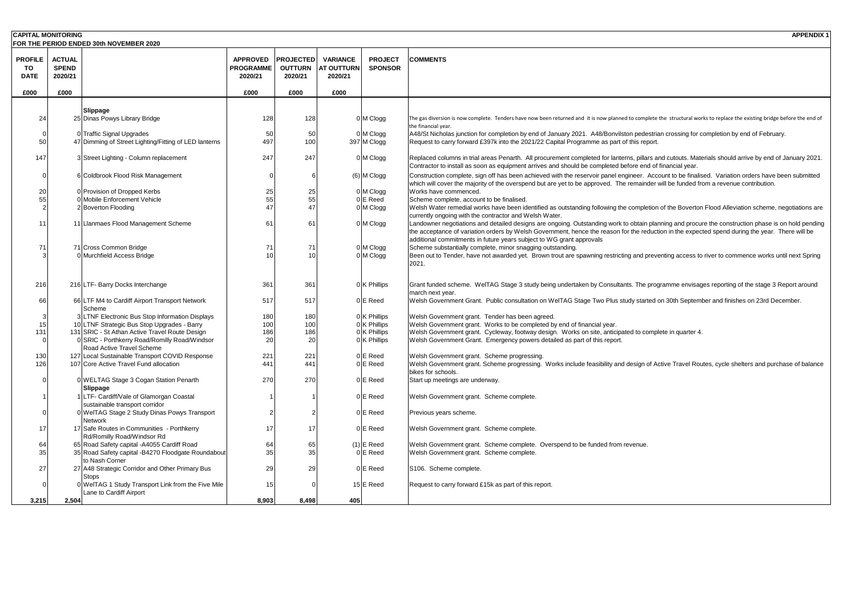| <b>CAPITAL MONITORING</b>           |                                          | <b>FOR THE PERIOD ENDED 30th NOVEMBER 2020</b>                                    |                                                |                                               |                                                 |                                  | <b>APPENDIX1</b>                                                                                                                                                                                                                                                                           |
|-------------------------------------|------------------------------------------|-----------------------------------------------------------------------------------|------------------------------------------------|-----------------------------------------------|-------------------------------------------------|----------------------------------|--------------------------------------------------------------------------------------------------------------------------------------------------------------------------------------------------------------------------------------------------------------------------------------------|
| <b>PROFILE</b><br>TO<br><b>DATE</b> | <b>ACTUAL</b><br><b>SPEND</b><br>2020/21 |                                                                                   | <b>APPROVED</b><br><b>PROGRAMME</b><br>2020/21 | <b>PROJECTED</b><br><b>OUTTURN</b><br>2020/21 | <b>VARIANCE</b><br><b>AT OUTTURN</b><br>2020/21 | <b>PROJECT</b><br><b>SPONSOR</b> | <b>COMMENTS</b>                                                                                                                                                                                                                                                                            |
| £000                                | £000                                     |                                                                                   | £000                                           | £000                                          | £000                                            |                                  |                                                                                                                                                                                                                                                                                            |
|                                     |                                          |                                                                                   |                                                |                                               |                                                 |                                  |                                                                                                                                                                                                                                                                                            |
|                                     |                                          | Slippage                                                                          |                                                |                                               |                                                 |                                  |                                                                                                                                                                                                                                                                                            |
| 24                                  |                                          | 25 Dinas Powys Library Bridge                                                     | 128                                            | 128                                           |                                                 | 0 M Clogg                        | The gas diversion is now complete. Tenders have now been returned and it is now planned to complete the structural works to replace the existing bridge before the end of<br>the financial year.                                                                                           |
|                                     |                                          | 0 Traffic Signal Upgrades                                                         | 50                                             | 50                                            |                                                 | 0 M Clogg                        | A48/St Nicholas junction for completion by end of January 2021. A48/Bonvilston pedestrian crossing for completion by end of February.                                                                                                                                                      |
| 50                                  |                                          | 47 Dimming of Street Lighting/Fitting of LED lanterns                             | 497                                            | 100                                           |                                                 | 397 M Clogg                      | Request to carry forward £397k into the 2021/22 Capital Programme as part of this report.                                                                                                                                                                                                  |
| 147                                 |                                          | 3 Street Lighting - Column replacement                                            | 247                                            | 247                                           |                                                 | 0 M Clogg                        | Replaced columns in trial areas Penarth. All procurement completed for lanterns, pillars and cutouts. Materials should arrive by end of January 2021.<br>Contractor to install as soon as equipment arrives and should be completed before end of financial year.                          |
|                                     |                                          | 6 Coldbrook Flood Risk Management                                                 |                                                |                                               |                                                 | $(6)$ M Clogg                    | Construction complete, sign off has been achieved with the reservoir panel engineer. Account to be finalised. Variation orders have been submitted<br>which will cover the majority of the overspend but are yet to be approved. The remainder will be funded from a revenue contribution. |
| 20                                  |                                          | 0 Provision of Dropped Kerbs                                                      | 25                                             | 25                                            |                                                 | $0 \, \text{M}$ Clogg            | Works have commenced.                                                                                                                                                                                                                                                                      |
|                                     |                                          | 0 Mobile Enforcement Vehicle                                                      | 55                                             | 55                                            |                                                 | $0 \times$ Reed                  | Scheme complete, account to be finalised.                                                                                                                                                                                                                                                  |
|                                     |                                          | 2 Boverton Flooding                                                               |                                                |                                               |                                                 | $0 \, \text{M}$ Clogg            | Welsh Water remedial works have been identified as outstanding following the completion of the Boverton Flood Alleviation scheme, negotiations are                                                                                                                                         |
|                                     |                                          | 11 Llanmaes Flood Management Scheme                                               | 6 <sup>′</sup>                                 | 61                                            |                                                 | 0 M Clogg                        | currently ongoing with the contractor and Welsh Water.<br>Landowner negotiations and detailed designs are ongoing. Outstanding work to obtain planning and procure the construction phase is on hold pending                                                                               |
|                                     |                                          |                                                                                   |                                                |                                               |                                                 |                                  | the acceptance of variation orders by Welsh Government, hence the reason for the reduction in the expected spend during the year. There will be                                                                                                                                            |
|                                     |                                          |                                                                                   |                                                |                                               |                                                 |                                  | additional commitments in future years subject to WG grant approvals                                                                                                                                                                                                                       |
| 7 <sup>1</sup>                      |                                          | 71 Cross Common Bridge                                                            | 71                                             | 71                                            |                                                 | 0 M Clogg                        | Scheme substantially complete, minor snagging outstanding.                                                                                                                                                                                                                                 |
|                                     |                                          | 0 Murchfield Access Bridge                                                        |                                                |                                               |                                                 | $0 \mid M$ Clogg                 | Been out to Tender, have not awarded yet. Brown trout are spawning restricting and preventing access to river to commence works until next Spring<br>2021.                                                                                                                                 |
| 216                                 |                                          | 216 LTF- Barry Docks Interchange                                                  | 361                                            | 361                                           |                                                 | $0$ K Phillips                   | Grant funded scheme. WeITAG Stage 3 study being undertaken by Consultants. The programme envisages reporting of the stage 3 Report around<br>march next year.                                                                                                                              |
| 66                                  |                                          | 66 LTF M4 to Cardiff Airport Transport Network<br>Scheme                          | 517                                            | 517                                           |                                                 | 0E Reed                          | Welsh Government Grant. Public consultation on WeITAG Stage Two Plus study started on 30th September and finishes on 23rd December.                                                                                                                                                        |
|                                     |                                          | 3 LTNF Electronic Bus Stop Information Displays                                   | 180                                            | 180                                           |                                                 | $0$ K Phillips                   | Welsh Government grant. Tender has been agreed.                                                                                                                                                                                                                                            |
|                                     |                                          | 10 LTNF Strategic Bus Stop Upgrades - Barry                                       | 100                                            | 100                                           |                                                 | $0$ K Phillips                   | Welsh Government grant. Works to be completed by end of financial year.                                                                                                                                                                                                                    |
| 131                                 |                                          | 131 SRIC - St Athan Active Travel Route Design                                    | 186                                            | 186                                           |                                                 | $0$ K Phillips                   | Welsh Government grant. Cycleway, footway design. Works on site, anticipated to complete in quarter 4.                                                                                                                                                                                     |
|                                     |                                          | 0 SRIC - Porthkerry Road/Romilly Road/Windsor<br><b>Road Active Travel Scheme</b> | 20                                             | 20                                            |                                                 | $0$ K Phillips                   | Welsh Government Grant. Emergency powers detailed as part of this report.                                                                                                                                                                                                                  |
| 130                                 |                                          | 127 Local Sustainable Transport COVID Response                                    | 221                                            | 221                                           |                                                 | $0 \times$ Reed                  | Welsh Government grant. Scheme progressing.                                                                                                                                                                                                                                                |
| 126                                 |                                          | 107 Core Active Travel Fund allocation                                            | 441                                            | 441                                           |                                                 | $0 \times$ Reed                  | Welsh Government grant. Scheme progressing. Works include feasibility and design of Active Travel Routes, cycle shelters and purchase of balance<br>bikes for schools.                                                                                                                     |
|                                     |                                          | 0 WELTAG Stage 3 Cogan Station Penarth                                            | 270                                            | 270                                           |                                                 | 0E Reed                          | Start up meetings are underway.                                                                                                                                                                                                                                                            |
|                                     |                                          | <b>Slippage</b>                                                                   |                                                |                                               |                                                 |                                  |                                                                                                                                                                                                                                                                                            |
|                                     |                                          | 1 LTF- Cardiff/Vale of Glamorgan Coastal                                          |                                                |                                               |                                                 | 0E Reed                          | Welsh Government grant. Scheme complete.                                                                                                                                                                                                                                                   |
|                                     |                                          | sustainable transport corridor                                                    |                                                |                                               |                                                 |                                  |                                                                                                                                                                                                                                                                                            |
|                                     |                                          | 0 WelTAG Stage 2 Study Dinas Powys Transport<br><b>Network</b>                    |                                                |                                               |                                                 | 0E Reed                          | Previous years scheme.                                                                                                                                                                                                                                                                     |
|                                     |                                          | 17 Safe Routes in Communities - Porthkerry<br>Rd/Romilly Road/Windsor Rd          | 17                                             | 17                                            |                                                 | $0 \times$ Reed                  | Welsh Government grant. Scheme complete.                                                                                                                                                                                                                                                   |
| 64                                  |                                          | 65 Road Safety capital -A4055 Cardiff Road                                        | 64                                             | 65                                            |                                                 | $(1)$ E Reed                     | Welsh Government grant. Scheme complete. Overspend to be funded from revenue.                                                                                                                                                                                                              |
| 35                                  |                                          | 35 Road Safety capital -B4270 Floodgate Roundabout<br>to Nash Corner              | 35                                             | 35                                            |                                                 | $0 \times$ Reed                  | Welsh Government grant. Scheme complete.                                                                                                                                                                                                                                                   |
| 27                                  |                                          | 27 A48 Strategic Corridor and Other Primary Bus<br><b>Stops</b>                   | 29                                             | 29                                            |                                                 | 0E Reed                          | S106. Scheme complete.                                                                                                                                                                                                                                                                     |
|                                     |                                          | 0 WelTAG 1 Study Transport Link from the Five Mile<br>Lane to Cardiff Airport     | 15                                             |                                               |                                                 | $15$ E Reed                      | Request to carry forward £15k as part of this report.                                                                                                                                                                                                                                      |
| 3,215                               | 2,504                                    |                                                                                   | 8,903                                          | 8,498                                         | 405                                             |                                  |                                                                                                                                                                                                                                                                                            |

- nt. Tender has been agreed.
- nt. Works to be completed by end of financial year.
- nt. Cycleway, footway design. Works on site, anticipated to complete in quarter 4.
- Int. Emergency powers detailed as part of this report.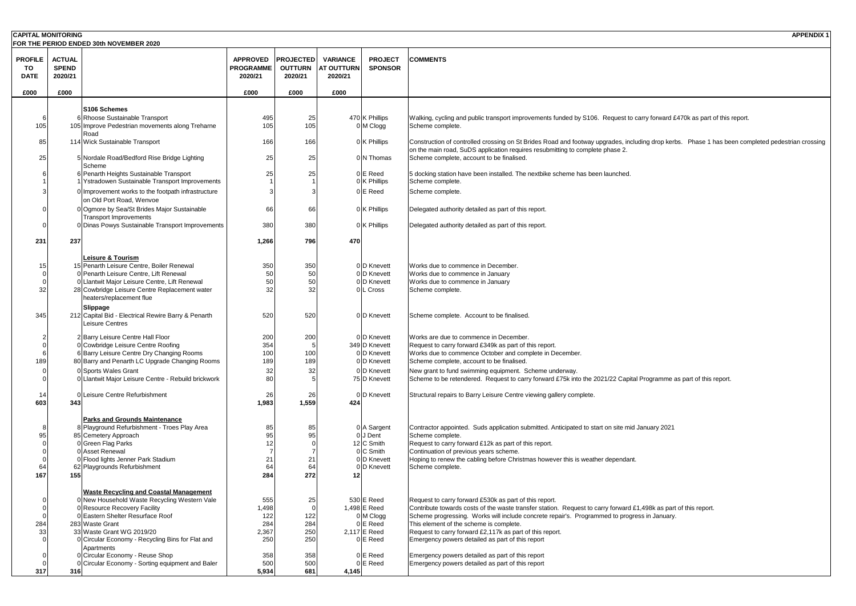| <b>CAPITAL MONITORING</b> |               |                                                                                 |                  |                  |                   |                                   | <b>APPENDIX1</b>                                                                                                                                 |
|---------------------------|---------------|---------------------------------------------------------------------------------|------------------|------------------|-------------------|-----------------------------------|--------------------------------------------------------------------------------------------------------------------------------------------------|
|                           |               | FOR THE PERIOD ENDED 30th NOVEMBER 2020                                         |                  |                  |                   |                                   |                                                                                                                                                  |
| <b>PROFILE</b>            | <b>ACTUAL</b> |                                                                                 | <b>APPROVED</b>  | <b>PROJECTED</b> | <b>VARIANCE</b>   | <b>PROJECT</b>                    | <b>COMMENTS</b>                                                                                                                                  |
| TO                        | <b>SPEND</b>  |                                                                                 | <b>PROGRAMME</b> | <b>OUTTURN</b>   | <b>AT OUTTURN</b> | <b>SPONSOR</b>                    |                                                                                                                                                  |
| <b>DATE</b>               | 2020/21       |                                                                                 | 2020/21          | 2020/21          | 2020/21           |                                   |                                                                                                                                                  |
| £000                      | £000          |                                                                                 | £000             | £000             | £000              |                                   |                                                                                                                                                  |
|                           |               |                                                                                 |                  |                  |                   |                                   |                                                                                                                                                  |
|                           |               | <b>S106 Schemes</b>                                                             |                  |                  |                   |                                   |                                                                                                                                                  |
|                           |               | 6 Rhoose Sustainable Transport                                                  | 495              | 25               |                   | 470 K Phillips                    | Walking, cycling and public transport improvements funded by S106. Request to carry forward £470k as part of this report.                        |
| 105                       |               | 105 Improve Pedestrian movements along Treharne                                 | 105              | 105              |                   | $0 \, \textsf{M}$ Clogg           | Scheme complete.                                                                                                                                 |
|                           |               | Road                                                                            |                  |                  |                   |                                   |                                                                                                                                                  |
| 85                        |               | 114 Wick Sustainable Transport                                                  | 166              | 166              |                   | $0$ K Phillips                    | Construction of controlled crossing on St Brides Road and footway upgrades, including drop kerbs. Phase 1 has been completed pedestrian crossing |
| 25                        |               | 5 Nordale Road/Bedford Rise Bridge Lighting                                     | 25               | 25               |                   | $0/N$ Thomas                      | on the main road, SuDS application requires resubmitting to complete phase 2.<br>Scheme complete, account to be finalised.                       |
|                           |               | Scheme                                                                          |                  |                  |                   |                                   |                                                                                                                                                  |
|                           |               | 6 Penarth Heights Sustainable Transport                                         | 25               | 25               |                   | $0 \times$ Reed                   | 5 docking station have been installed. The nextbike scheme has been launched.                                                                    |
|                           |               | 1 Ystradowen Sustainable Transport Improvements                                 |                  |                  |                   | $0$ K Phillips                    | Scheme complete.                                                                                                                                 |
|                           |               | 0 Improvement works to the footpath infrastructure                              |                  |                  |                   | 0E Reed                           | Scheme complete.                                                                                                                                 |
|                           |               | on Old Port Road, Wenvoe                                                        |                  |                  |                   |                                   |                                                                                                                                                  |
|                           |               | 0 Ogmore by Sea/St Brides Major Sustainable                                     | 66               | 66               |                   | $0$ K Phillips                    | Delegated authority detailed as part of this report.                                                                                             |
|                           |               | Transport Improvements                                                          |                  |                  |                   |                                   |                                                                                                                                                  |
|                           |               | 0 Dinas Powys Sustainable Transport Improvements                                | 380              | 380              |                   | $0$ K Phillips                    | Delegated authority detailed as part of this report.                                                                                             |
| 231                       | 237           |                                                                                 | 1,266            | 796              | 470               |                                   |                                                                                                                                                  |
|                           |               |                                                                                 |                  |                  |                   |                                   |                                                                                                                                                  |
|                           |               | Leisure & Tourism                                                               |                  |                  |                   |                                   |                                                                                                                                                  |
| 15                        |               | 15 Penarth Leisure Centre, Boiler Renewal                                       | 350              | 350              |                   | 0 D Knevett                       | Works due to commence in December.                                                                                                               |
|                           |               | 0 Penarth Leisure Centre, Lift Renewal                                          | 50               | 50               |                   | 0 D Knevett                       | Works due to commence in January                                                                                                                 |
|                           |               | 0 Llantwit Major Leisure Centre, Lift Renewal                                   |                  |                  |                   | 0D Knevett                        | Works due to commence in January                                                                                                                 |
| 32                        |               | 28 Cowbridge Leisure Centre Replacement water<br>heaters/replacement flue       | 32               | 32               |                   | 0L Cross                          | Scheme complete.                                                                                                                                 |
|                           |               |                                                                                 |                  |                  |                   |                                   |                                                                                                                                                  |
| 345                       |               | Slippage<br>212 Capital Bid - Electrical Rewire Barry & Penarth                 | 520              | 520              |                   | 0D Knevett                        | Scheme complete. Account to be finalised.                                                                                                        |
|                           |               | Leisure Centres                                                                 |                  |                  |                   |                                   |                                                                                                                                                  |
|                           |               |                                                                                 |                  |                  |                   |                                   |                                                                                                                                                  |
|                           |               | 2 Barry Leisure Centre Hall Floor                                               | 200              | 200              |                   | 0 <sup>D</sup> Knevett            | Works are due to commence in December.                                                                                                           |
|                           |               | 0 Cowbridge Leisure Centre Roofing<br>6 Barry Leisure Centre Dry Changing Rooms | 354              | 100              |                   | 349 D Knevett<br>0D Knevett       | Request to carry forward £349k as part of this report.<br>Works due to commence October and complete in December.                                |
| 189                       |               | 80 Barry and Penarth LC Upgrade Changing Rooms                                  | 189              | 189              |                   | 0 D Knevett                       | Scheme complete, account to be finalised.                                                                                                        |
|                           |               | 0 Sports Wales Grant                                                            | 32               | 32               |                   | 0 D Knevett                       | New grant to fund swimming equipment. Scheme underway.                                                                                           |
|                           |               | 0 Llantwit Major Leisure Centre - Rebuild brickwork                             |                  |                  |                   | 75 D Knevett                      | Scheme to be retendered. Request to carry forward £75k into the 2021/22 Capital Programme as part of this report.                                |
|                           |               |                                                                                 |                  |                  |                   |                                   |                                                                                                                                                  |
| 14                        |               | OlLeisure Centre Refurbishment                                                  | 26               | 26               |                   | 0 D Knevett                       | Structural repairs to Barry Leisure Centre viewing gallery complete.                                                                             |
| 603                       | 343           |                                                                                 | 1,983            | 1,559            | 424               |                                   |                                                                                                                                                  |
|                           |               | <b>Parks and Grounds Maintenance</b>                                            |                  |                  |                   |                                   |                                                                                                                                                  |
|                           |               | 8 Playground Refurbishment - Troes Play Area                                    |                  | 85               |                   | 0 A Sargent                       | Contractor appointed. Suds application submitted. Anticipated to start on site mid January 2021                                                  |
| 95                        |               | 85 Cemetery Approach                                                            |                  |                  |                   | $0$ J Dent                        | Scheme complete.                                                                                                                                 |
|                           |               | 0 Green Flag Parks                                                              |                  |                  |                   | $12 C \text{ Smith}$              | Request to carry forward £12k as part of this report.                                                                                            |
|                           |               | 0 Asset Renewal                                                                 |                  |                  |                   | $0 C \text{ Smith}$               | Continuation of previous years scheme.                                                                                                           |
|                           |               | 0 Flood lights Jenner Park Stadium                                              | 21               | 21               |                   | 0 <sup>D</sup> Knevett            | Hoping to renew the cabling before Christmas however this is weather dependant.                                                                  |
| -64<br>167                | 155           | 62 Playgrounds Refurbishment                                                    | 284              | 272              |                   | 0 D Knevett                       | Scheme complete.                                                                                                                                 |
|                           |               |                                                                                 |                  |                  |                   |                                   |                                                                                                                                                  |
|                           |               | <b>Waste Recycling and Coastal Management</b>                                   |                  |                  |                   |                                   |                                                                                                                                                  |
|                           |               | 0 New Household Waste Recycling Western Vale                                    | 555              | 25               |                   | $530 \text{E}$ Reed               | Request to carry forward £530k as part of this report.                                                                                           |
|                           |               | 0 Resource Recovery Facility                                                    | 1,498            |                  |                   | 1,498 $E$ Reed                    | Contribute towards costs of the waste transfer station. Request to carry forward £1,498k as part of this report.                                 |
|                           |               | 0 Eastern Shelter Resurface Roof                                                | 122              | 122              |                   | 0 M Clogg                         | Scheme progressing. Works will include concrete repair's. Programmed to progress in January.                                                     |
| 284                       |               | 283 Waste Grant<br>33 Waste Grant WG 2019/20                                    | 284<br>2,367     | 284<br>250       |                   | $0 \times$ Reed<br>$2,117$ E Reed | This element of the scheme is complete.<br>Request to carry forward £2,117k as part of this report.                                              |
|                           |               | 0 Circular Economy - Recycling Bins for Flat and                                | 250              | 250              |                   | $0 \times$ Reed                   | Emergency powers detailed as part of this report                                                                                                 |
|                           |               | Apartments                                                                      |                  |                  |                   |                                   |                                                                                                                                                  |
|                           |               | 0 Circular Economy - Reuse Shop                                                 | 358              | 358              |                   | $0 E \text{ Reed}$                | Emergency powers detailed as part of this report                                                                                                 |
|                           |               | 0 Circular Economy - Sorting equipment and Baler                                | 500              | 500              |                   | $ \mathsf{E}$ Reed                | Emergency powers detailed as part of this report                                                                                                 |
| 317                       | 316           |                                                                                 | 5,934            | 681              | 4,145             |                                   |                                                                                                                                                  |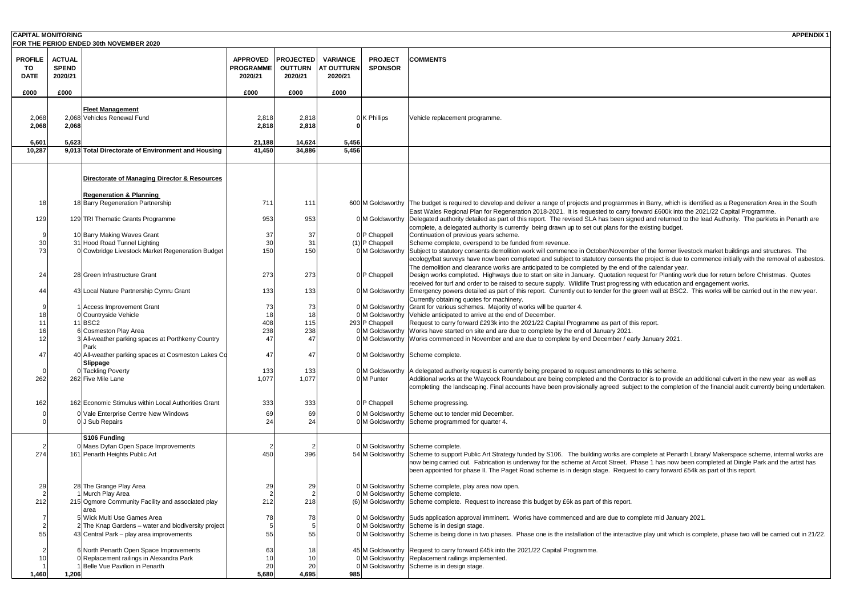| <b>CAPITAL MONITORING</b> |                         | <b>FOR THE PERIOD ENDED 30th NOVEMBER 2020</b>                                     |                             |                           |                              |                       | <b>APPENDIX1</b>                                                                                                                                                                                                                                                            |
|---------------------------|-------------------------|------------------------------------------------------------------------------------|-----------------------------|---------------------------|------------------------------|-----------------------|-----------------------------------------------------------------------------------------------------------------------------------------------------------------------------------------------------------------------------------------------------------------------------|
|                           |                         |                                                                                    |                             |                           |                              |                       |                                                                                                                                                                                                                                                                             |
| <b>PROFILE</b>            | <b>ACTUAL</b>           |                                                                                    | <b>APPROVED</b>             | <b>PROJECTED</b>          | <b>VARIANCE</b>              | <b>PROJECT</b>        | <b>COMMENTS</b>                                                                                                                                                                                                                                                             |
| TO<br><b>DATE</b>         | <b>SPEND</b><br>2020/21 |                                                                                    | <b>PROGRAMME</b><br>2020/21 | <b>OUTTURN</b><br>2020/21 | <b>AT OUTTURN</b><br>2020/21 | <b>SPONSOR</b>        |                                                                                                                                                                                                                                                                             |
|                           |                         |                                                                                    |                             |                           |                              |                       |                                                                                                                                                                                                                                                                             |
| £000                      | £000                    |                                                                                    | £000                        | £000                      | £000                         |                       |                                                                                                                                                                                                                                                                             |
|                           |                         |                                                                                    |                             |                           |                              |                       |                                                                                                                                                                                                                                                                             |
| 2,068                     |                         | <b>Fleet Management</b><br>2.068 Vehicles Renewal Fund                             | 2,818                       | 2,818                     |                              | $0$ K Phillips        | Vehicle replacement programme.                                                                                                                                                                                                                                              |
| 2,068                     | 2,068                   |                                                                                    | 2,818                       | 2,818                     |                              |                       |                                                                                                                                                                                                                                                                             |
|                           |                         |                                                                                    |                             |                           |                              |                       |                                                                                                                                                                                                                                                                             |
| 6,601                     | 5,623                   |                                                                                    | 21,188                      | 14,624                    | 5,456                        |                       |                                                                                                                                                                                                                                                                             |
| 10,287                    |                         | 9,013 Total Directorate of Environment and Housing                                 | 41,450                      | 34,886                    | 5,456                        |                       |                                                                                                                                                                                                                                                                             |
|                           |                         |                                                                                    |                             |                           |                              |                       |                                                                                                                                                                                                                                                                             |
|                           |                         | Directorate of Managing Director & Resources                                       |                             |                           |                              |                       |                                                                                                                                                                                                                                                                             |
|                           |                         | <b>Regeneration &amp; Planning</b>                                                 |                             |                           |                              |                       |                                                                                                                                                                                                                                                                             |
| 18                        |                         | 18 Barry Regeneration Partnership                                                  | 711                         | 111                       |                              | 600 M Goldsworthy     | The budget is required to develop and deliver a range of projects and programmes in Barry, which is identified as a Regeneration Area in the South                                                                                                                          |
|                           |                         |                                                                                    |                             |                           |                              |                       | East Wales Regional Plan for Regeneration 2018-2021. It is requested to carry forward £600k into the 2021/22 Capital Programme.                                                                                                                                             |
| 129                       |                         | 129 TRI Thematic Grants Programme                                                  | 953                         | 953                       |                              | 0 M Goldsworthy       | Delegated authority detailed as part of this report. The revised SLA has been signed and returned to the lead Authority. The parklets in Penarth are                                                                                                                        |
|                           |                         | 10 Barry Making Waves Grant                                                        | 3 <sub>1</sub>              | 37                        |                              | 0 P Chappell          | complete, a delegated authority is currently being drawn up to set out plans for the existing budget.<br>Continuation of previous years scheme.                                                                                                                             |
| 30                        |                         | 31 Hood Road Tunnel Lighting                                                       | 30                          | 31                        |                              | $(1)$ P Chappell      | Scheme complete, overspend to be funded from revenue.                                                                                                                                                                                                                       |
|                           |                         | 0 Cowbridge Livestock Market Regeneration Budget                                   | 150                         | 150                       |                              | 0 M Goldsworthy       | Subject to statutory consents demolition work will commence in October/November of the former livestock market buildings and structures. The                                                                                                                                |
|                           |                         |                                                                                    |                             |                           |                              |                       | ecology/bat surveys have now been completed and subject to statutory consents the project is due to commence initially with the removal of asbestos.                                                                                                                        |
|                           |                         |                                                                                    |                             |                           |                              |                       | The demolition and clearance works are anticipated to be completed by the end of the calendar year.                                                                                                                                                                         |
| 24                        |                         | 28 Green Infrastructure Grant                                                      | 273                         | 273                       |                              | $0 P$ Chappell        | Design works completed. Highways due to start on site in January. Quotation request for Planting work due for return before Christmas. Quotes<br>received for turf and order to be raised to secure supply. Wildlife Trust progressing with education and engagement works. |
| 44                        |                         | 43 Local Nature Partnership Cymru Grant                                            | 133                         | 133                       |                              | 0 M Goldsworthy       | Emergency powers detailed as part of this report. Currently out to tender for the green wall at BSC2. This works will be carried out in the new year.                                                                                                                       |
|                           |                         |                                                                                    |                             |                           |                              |                       | Currently obtaining quotes for machinery.                                                                                                                                                                                                                                   |
|                           |                         | 1 Access Improvement Grant                                                         | 73                          |                           |                              | 0 M Goldsworthy       | Grant for various schemes. Majority of works will be quarter 4.                                                                                                                                                                                                             |
|                           |                         | 0 Countryside Vehicle                                                              |                             | 115                       |                              | 0 M Goldsworthy       | Vehicle anticipated to arrive at the end of December.                                                                                                                                                                                                                       |
|                           |                         | 11BSC2<br>6 Cosmeston Play Area                                                    | 408<br>238                  | 238                       |                              | 293 P Chappell        | Request to carry forward £293k into the 2021/22 Capital Programme as part of this report.<br>0 M Goldsworthy Works have started on site and are due to complete by the end of January 2021.                                                                                 |
|                           |                         | 3 All-weather parking spaces at Porthkerry Country                                 |                             |                           |                              |                       | 0 M Goldsworthy Works commenced in November and are due to complete by end December / early January 2021.                                                                                                                                                                   |
|                           |                         | Park                                                                               |                             |                           |                              |                       |                                                                                                                                                                                                                                                                             |
| 47                        |                         | 40 All-weather parking spaces at Cosmeston Lakes Co                                | 47                          | 47                        |                              |                       | 0 M Goldsworthy Scheme complete.                                                                                                                                                                                                                                            |
|                           |                         | <b>Slippage</b><br>0 Tackling Poverty                                              | 133                         | 133                       |                              | 0 M Goldsworthy       | A delegated authority request is currently being prepared to request amendments to this scheme.                                                                                                                                                                             |
| 262                       |                         | 262 Five Mile Lane                                                                 | 1,077                       | 1,077                     |                              | 0 <sup>M</sup> Punter | Additional works at the Waycock Roundabout are being completed and the Contractor is to provide an additional culvert in the new year as well as                                                                                                                            |
|                           |                         |                                                                                    |                             |                           |                              |                       | completing the landscaping. Final accounts have been provisionally agreed subject to the completion of the financial audit currently being undertaken.                                                                                                                      |
| 162                       |                         | 162 Economic Stimulus within Local Authorities Grant                               |                             | 333                       |                              |                       |                                                                                                                                                                                                                                                                             |
|                           |                         |                                                                                    | 333                         |                           |                              | $0$ P Chappell        | Scheme progressing.                                                                                                                                                                                                                                                         |
|                           |                         | 0 Vale Enterprise Centre New Windows<br>0J Sub Repairs                             | 69                          | 69                        |                              |                       | 0 M Goldsworthy Scheme out to tender mid December.<br>0 M Goldsworthy Scheme programmed for quarter 4.                                                                                                                                                                      |
|                           |                         |                                                                                    |                             |                           |                              |                       |                                                                                                                                                                                                                                                                             |
|                           |                         | S106 Funding                                                                       |                             |                           |                              |                       |                                                                                                                                                                                                                                                                             |
| 274                       |                         | 0 Maes Dyfan Open Space Improvements<br>161 Penarth Heights Public Art             | 450                         | 396                       |                              |                       | 0 M Goldsworthy Scheme complete.<br>54 M Goldsworthy Scheme to support Public Art Strategy funded by S106. The building works are complete at Penarth Library/ Makerspace scheme, internal works are                                                                        |
|                           |                         |                                                                                    |                             |                           |                              |                       | now being carried out. Fabrication is underway for the scheme at Arcot Street. Phase 1 has now been completed at Dingle Park and the artist has                                                                                                                             |
|                           |                         |                                                                                    |                             |                           |                              |                       | been appointed for phase II. The Paget Road scheme is in design stage. Request to carry forward £54k as part of this report.                                                                                                                                                |
| 29                        |                         | 28 The Grange Play Area                                                            | 29                          | 29                        |                              |                       | 0 M Goldsworthy Scheme complete, play area now open.                                                                                                                                                                                                                        |
|                           |                         | Murch Play Area                                                                    |                             |                           |                              |                       | 0 M Goldsworthy Scheme complete.                                                                                                                                                                                                                                            |
| 212                       |                         | 215 Ogmore Community Facility and associated play                                  | 212                         | 218                       |                              |                       | (6) M Goldsworthy Scheme complete. Request to increase this budget by £6k as part of this report.                                                                                                                                                                           |
|                           |                         | area                                                                               |                             |                           |                              |                       |                                                                                                                                                                                                                                                                             |
|                           |                         | 5 Wick Multi Use Games Area<br>2 The Knap Gardens – water and biodiversity project | 78                          |                           |                              |                       | 0 M Goldsworthy Suds application approval imminent. Works have commenced and are due to complete mid January 2021.<br>0 M Goldsworthy Scheme is in design stage.                                                                                                            |
| 55                        |                         | 43 Central Park – play area improvements                                           | 55                          | 55                        |                              |                       | 0 M Goldsworthy Scheme is being done in two phases. Phase one is the installation of the interactive play unit which is complete, phase two will be carried out in 21/22.                                                                                                   |
|                           |                         |                                                                                    |                             |                           |                              |                       |                                                                                                                                                                                                                                                                             |
|                           |                         | 6 North Penarth Open Space Improvements                                            | 63                          |                           |                              |                       | 45 M Goldsworthy Request to carry forward £45k into the 2021/22 Capital Programme.                                                                                                                                                                                          |
|                           |                         | 0 Replacement railings in Alexandra Park<br>Belle Vue Pavilion in Penarth          | 20                          | 20                        |                              |                       | 0 M Goldsworthy Replacement railings implemented.<br>0 M Goldsworthy Scheme is in design stage.                                                                                                                                                                             |
| 1,460                     | 1,206                   |                                                                                    | 5,680                       | 4,695                     | 985                          |                       |                                                                                                                                                                                                                                                                             |